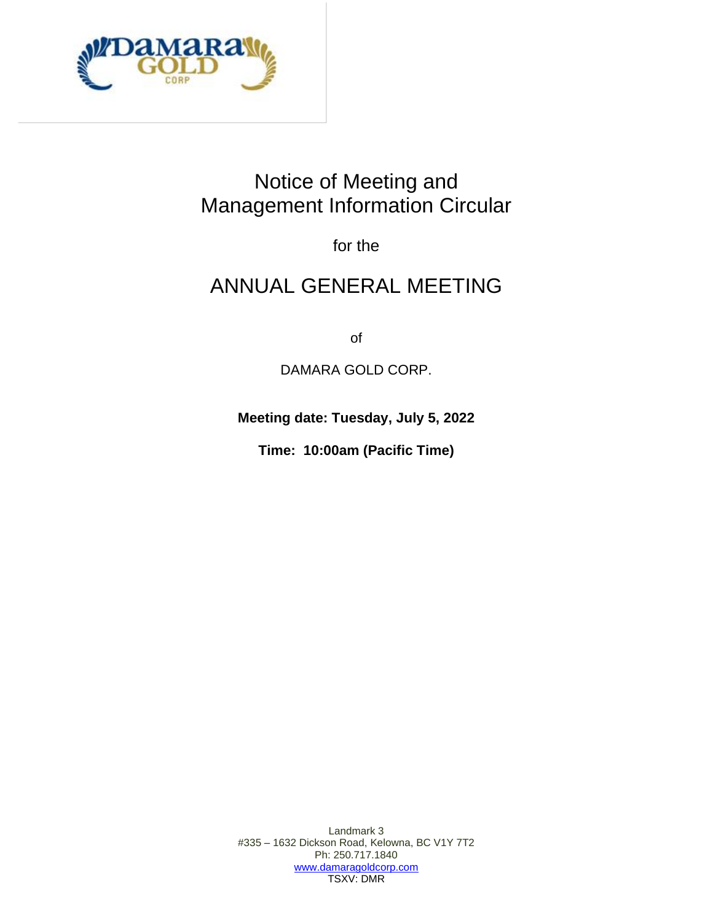

# Notice of Meeting and Management Information Circular

for the

# ANNUAL GENERAL MEETING

of

DAMARA GOLD CORP.

**Meeting date: Tuesday, July 5, 2022**

**Time: 10:00am (Pacific Time)**

Landmark 3 #335 – 1632 Dickson Road, Kelowna, BC V1Y 7T2 Ph: 250.717.1840 [www.damaragoldcorp.com](http://www.damaragoldcorp.com/) TSXV: DMR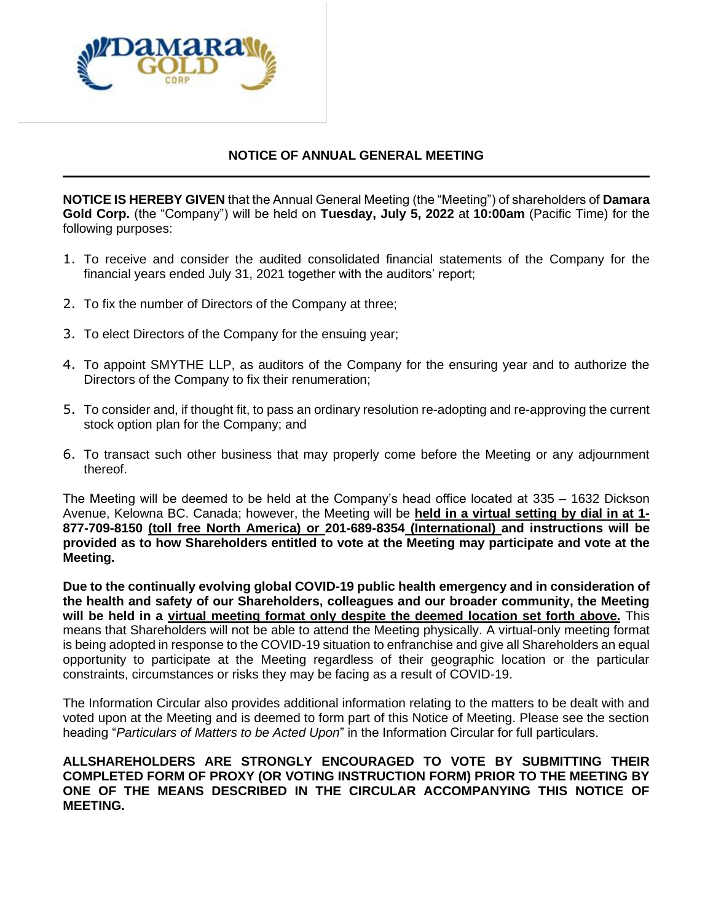

# **NOTICE OF ANNUAL GENERAL MEETING**

**NOTICE IS HEREBY GIVEN** that the Annual General Meeting (the "Meeting") of shareholders of **Damara Gold Corp.** (the "Company") will be held on **Tuesday, July 5, 2022** at **10:00am** (Pacific Time) for the following purposes:

- 1. To receive and consider the audited consolidated financial statements of the Company for the financial years ended July 31, 2021 together with the auditors' report;
- 2. To fix the number of Directors of the Company at three;
- 3. To elect Directors of the Company for the ensuing year;
- 4. To appoint SMYTHE LLP, as auditors of the Company for the ensuring year and to authorize the Directors of the Company to fix their renumeration;
- 5. To consider and, if thought fit, to pass an ordinary resolution re-adopting and re-approving the current stock option plan for the Company; and
- 6. To transact such other business that may properly come before the Meeting or any adjournment thereof.

The Meeting will be deemed to be held at the Company's head office located at 335 – 1632 Dickson Avenue, Kelowna BC. Canada; however, the Meeting will be **held in a virtual setting by dial in at 1- 877-709-8150 (toll free North America) or 201-689-8354 (International) and instructions will be provided as to how Shareholders entitled to vote at the Meeting may participate and vote at the Meeting.**

**Due to the continually evolving global COVID-19 public health emergency and in consideration of the health and safety of our Shareholders, colleagues and our broader community, the Meeting will be held in a virtual meeting format only despite the deemed location set forth above.** This means that Shareholders will not be able to attend the Meeting physically. A virtual-only meeting format is being adopted in response to the COVID-19 situation to enfranchise and give all Shareholders an equal opportunity to participate at the Meeting regardless of their geographic location or the particular constraints, circumstances or risks they may be facing as a result of COVID-19.

The Information Circular also provides additional information relating to the matters to be dealt with and voted upon at the Meeting and is deemed to form part of this Notice of Meeting. Please see the section heading "*Particulars of Matters to be Acted Upon*" in the Information Circular for full particulars.

**ALLSHAREHOLDERS ARE STRONGLY ENCOURAGED TO VOTE BY SUBMITTING THEIR COMPLETED FORM OF PROXY (OR VOTING INSTRUCTION FORM) PRIOR TO THE MEETING BY ONE OF THE MEANS DESCRIBED IN THE CIRCULAR ACCOMPANYING THIS NOTICE OF MEETING.**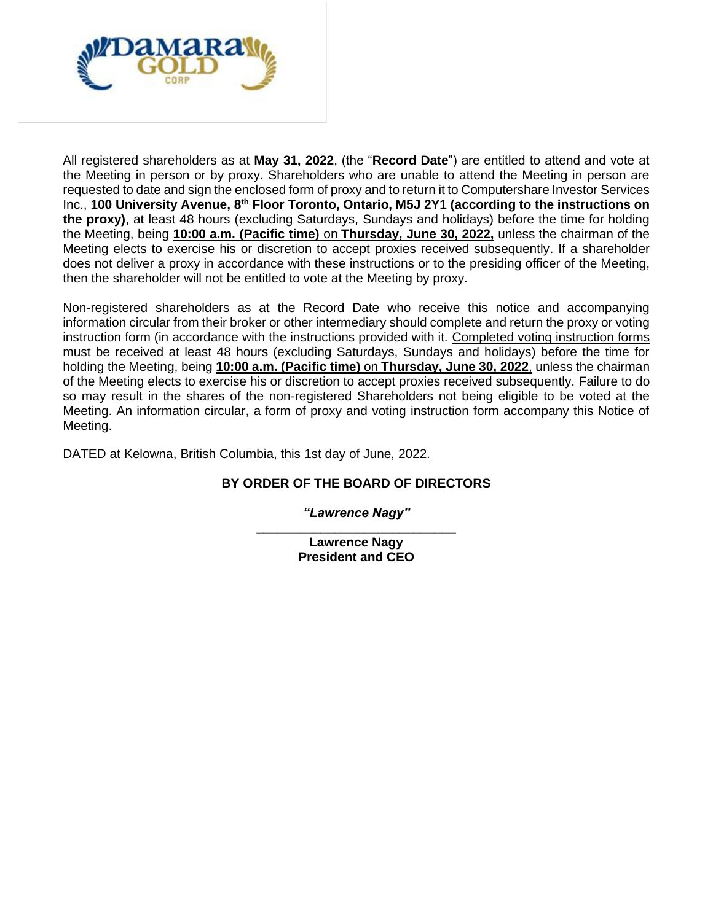

All registered shareholders as at **May 31, 2022**, (the "**Record Date**") are entitled to attend and vote at the Meeting in person or by proxy. Shareholders who are unable to attend the Meeting in person are requested to date and sign the enclosed form of proxy and to return it to Computershare Investor Services Inc., **100 University Avenue, 8th Floor Toronto, Ontario, M5J 2Y1 (according to the instructions on the proxy)**, at least 48 hours (excluding Saturdays, Sundays and holidays) before the time for holding the Meeting, being **10:00 a.m. (Pacific time)** on **Thursday, June 30, 2022,** unless the chairman of the Meeting elects to exercise his or discretion to accept proxies received subsequently. If a shareholder does not deliver a proxy in accordance with these instructions or to the presiding officer of the Meeting, then the shareholder will not be entitled to vote at the Meeting by proxy.

Non-registered shareholders as at the Record Date who receive this notice and accompanying information circular from their broker or other intermediary should complete and return the proxy or voting instruction form (in accordance with the instructions provided with it. Completed voting instruction forms must be received at least 48 hours (excluding Saturdays, Sundays and holidays) before the time for holding the Meeting, being **10:00 a.m. (Pacific time)** on **Thursday, June 30, 2022**, unless the chairman of the Meeting elects to exercise his or discretion to accept proxies received subsequently. Failure to do so may result in the shares of the non-registered Shareholders not being eligible to be voted at the Meeting. An information circular, a form of proxy and voting instruction form accompany this Notice of Meeting.

DATED at Kelowna, British Columbia, this 1st day of June, 2022.

# **BY ORDER OF THE BOARD OF DIRECTORS**

*"Lawrence Nagy"* **\_\_\_\_\_\_\_\_\_\_\_\_\_\_\_\_\_\_\_\_\_\_\_\_\_\_\_\_**

> **Lawrence Nagy President and CEO**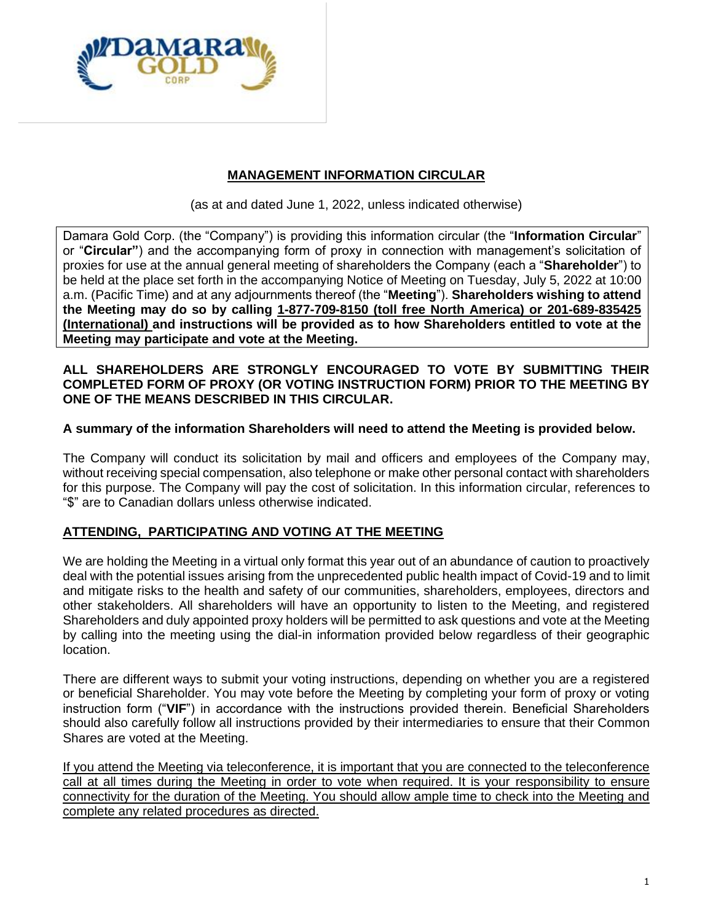

# **MANAGEMENT INFORMATION CIRCULAR**

(as at and dated June 1, 2022, unless indicated otherwise)

Damara Gold Corp. (the "Company") is providing this information circular (the "**Information Circular**" or "**Circular"**) and the accompanying form of proxy in connection with management's solicitation of proxies for use at the annual general meeting of shareholders the Company (each a "**Shareholder**") to be held at the place set forth in the accompanying Notice of Meeting on Tuesday, July 5, 2022 at 10:00 a.m. (Pacific Time) and at any adjournments thereof (the "**Meeting**"). **Shareholders wishing to attend the Meeting may do so by calling 1-877-709-8150 (toll free North America) or 201-689-835425 (International) and instructions will be provided as to how Shareholders entitled to vote at the Meeting may participate and vote at the Meeting.** 

## **ALL SHAREHOLDERS ARE STRONGLY ENCOURAGED TO VOTE BY SUBMITTING THEIR COMPLETED FORM OF PROXY (OR VOTING INSTRUCTION FORM) PRIOR TO THE MEETING BY ONE OF THE MEANS DESCRIBED IN THIS CIRCULAR.**

## **A summary of the information Shareholders will need to attend the Meeting is provided below.**

The Company will conduct its solicitation by mail and officers and employees of the Company may, without receiving special compensation, also telephone or make other personal contact with shareholders for this purpose. The Company will pay the cost of solicitation. In this information circular, references to "\$" are to Canadian dollars unless otherwise indicated.

## **ATTENDING, PARTICIPATING AND VOTING AT THE MEETING**

We are holding the Meeting in a virtual only format this year out of an abundance of caution to proactively deal with the potential issues arising from the unprecedented public health impact of Covid-19 and to limit and mitigate risks to the health and safety of our communities, shareholders, employees, directors and other stakeholders. All shareholders will have an opportunity to listen to the Meeting, and registered Shareholders and duly appointed proxy holders will be permitted to ask questions and vote at the Meeting by calling into the meeting using the dial-in information provided below regardless of their geographic location.

There are different ways to submit your voting instructions, depending on whether you are a registered or beneficial Shareholder. You may vote before the Meeting by completing your form of proxy or voting instruction form ("**VIF**") in accordance with the instructions provided therein. Beneficial Shareholders should also carefully follow all instructions provided by their intermediaries to ensure that their Common Shares are voted at the Meeting.

If you attend the Meeting via teleconference, it is important that you are connected to the teleconference call at all times during the Meeting in order to vote when required. It is your responsibility to ensure connectivity for the duration of the Meeting. You should allow ample time to check into the Meeting and complete any related procedures as directed.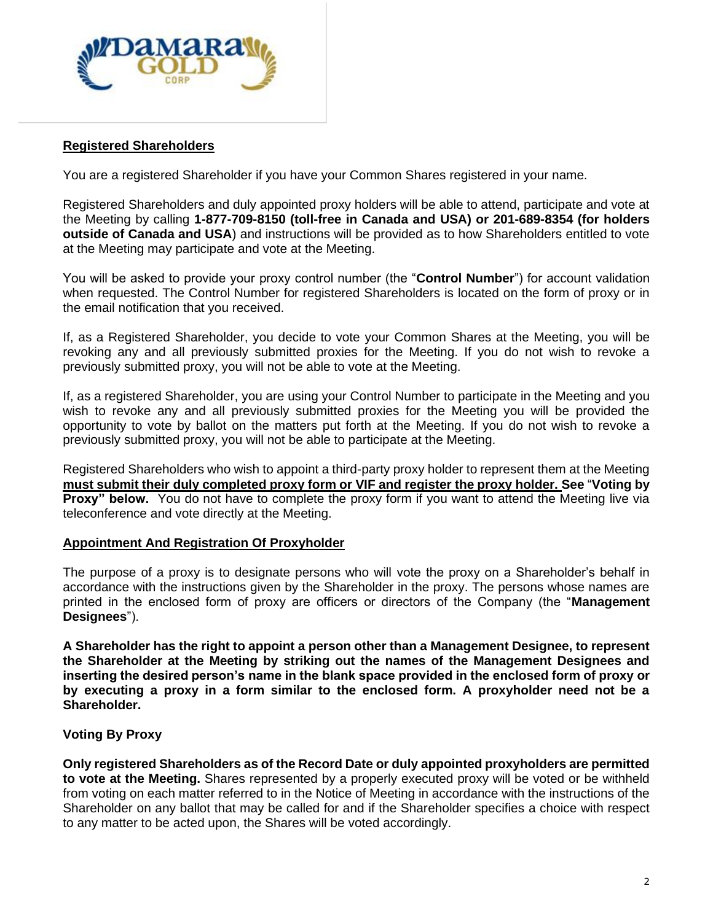

## **Registered Shareholders**

You are a registered Shareholder if you have your Common Shares registered in your name.

Registered Shareholders and duly appointed proxy holders will be able to attend, participate and vote at the Meeting by calling **1-877-709-8150 (toll-free in Canada and USA) or 201-689-8354 (for holders outside of Canada and USA**) and instructions will be provided as to how Shareholders entitled to vote at the Meeting may participate and vote at the Meeting.

You will be asked to provide your proxy control number (the "**Control Number**") for account validation when requested. The Control Number for registered Shareholders is located on the form of proxy or in the email notification that you received.

If, as a Registered Shareholder, you decide to vote your Common Shares at the Meeting, you will be revoking any and all previously submitted proxies for the Meeting. If you do not wish to revoke a previously submitted proxy, you will not be able to vote at the Meeting.

If, as a registered Shareholder, you are using your Control Number to participate in the Meeting and you wish to revoke any and all previously submitted proxies for the Meeting you will be provided the opportunity to vote by ballot on the matters put forth at the Meeting. If you do not wish to revoke a previously submitted proxy, you will not be able to participate at the Meeting.

Registered Shareholders who wish to appoint a third-party proxy holder to represent them at the Meeting **must submit their duly completed proxy form or VIF and register the proxy holder. See** "**Voting by Proxy" below.** You do not have to complete the proxy form if you want to attend the Meeting live via teleconference and vote directly at the Meeting.

#### **Appointment And Registration Of Proxyholder**

The purpose of a proxy is to designate persons who will vote the proxy on a Shareholder's behalf in accordance with the instructions given by the Shareholder in the proxy. The persons whose names are printed in the enclosed form of proxy are officers or directors of the Company (the "**Management Designees**").

**A Shareholder has the right to appoint a person other than a Management Designee, to represent the Shareholder at the Meeting by striking out the names of the Management Designees and inserting the desired person's name in the blank space provided in the enclosed form of proxy or by executing a proxy in a form similar to the enclosed form. A proxyholder need not be a Shareholder.**

## **Voting By Proxy**

**Only registered Shareholders as of the Record Date or duly appointed proxyholders are permitted to vote at the Meeting.** Shares represented by a properly executed proxy will be voted or be withheld from voting on each matter referred to in the Notice of Meeting in accordance with the instructions of the Shareholder on any ballot that may be called for and if the Shareholder specifies a choice with respect to any matter to be acted upon, the Shares will be voted accordingly.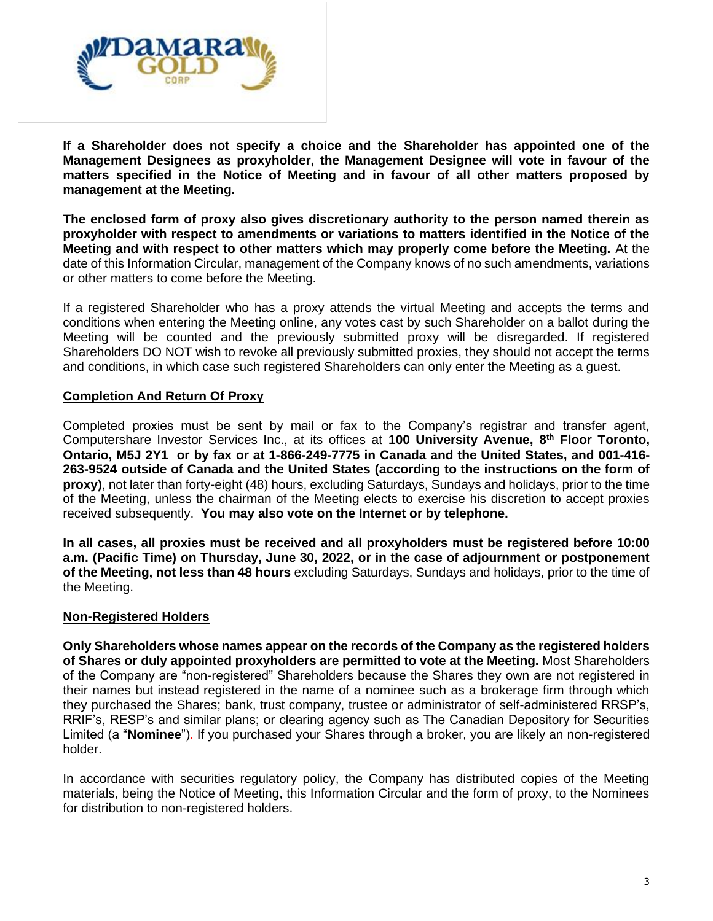

**If a Shareholder does not specify a choice and the Shareholder has appointed one of the Management Designees as proxyholder, the Management Designee will vote in favour of the matters specified in the Notice of Meeting and in favour of all other matters proposed by management at the Meeting.**

**The enclosed form of proxy also gives discretionary authority to the person named therein as proxyholder with respect to amendments or variations to matters identified in the Notice of the Meeting and with respect to other matters which may properly come before the Meeting.** At the date of this Information Circular, management of the Company knows of no such amendments, variations or other matters to come before the Meeting.

If a registered Shareholder who has a proxy attends the virtual Meeting and accepts the terms and conditions when entering the Meeting online, any votes cast by such Shareholder on a ballot during the Meeting will be counted and the previously submitted proxy will be disregarded. If registered Shareholders DO NOT wish to revoke all previously submitted proxies, they should not accept the terms and conditions, in which case such registered Shareholders can only enter the Meeting as a guest.

## **Completion And Return Of Proxy**

Completed proxies must be sent by mail or fax to the Company's registrar and transfer agent, Computershare Investor Services Inc., at its offices at **100 University Avenue, 8th Floor Toronto, Ontario, M5J 2Y1 or by fax or at 1-866-249-7775 in Canada and the United States, and 001-416- 263-9524 outside of Canada and the United States (according to the instructions on the form of proxy)**, not later than forty-eight (48) hours, excluding Saturdays, Sundays and holidays, prior to the time of the Meeting, unless the chairman of the Meeting elects to exercise his discretion to accept proxies received subsequently. **You may also vote on the Internet or by telephone.** 

**In all cases, all proxies must be received and all proxyholders must be registered before 10:00 a.m. (Pacific Time) on Thursday, June 30, 2022, or in the case of adjournment or postponement of the Meeting, not less than 48 hours** excluding Saturdays, Sundays and holidays, prior to the time of the Meeting.

#### **Non-Registered Holders**

**Only Shareholders whose names appear on the records of the Company as the registered holders of Shares or duly appointed proxyholders are permitted to vote at the Meeting.** Most Shareholders of the Company are "non-registered" Shareholders because the Shares they own are not registered in their names but instead registered in the name of a nominee such as a brokerage firm through which they purchased the Shares; bank, trust company, trustee or administrator of self-administered RRSP's, RRIF's, RESP's and similar plans; or clearing agency such as The Canadian Depository for Securities Limited (a "**Nominee**"). If you purchased your Shares through a broker, you are likely an non-registered holder.

In accordance with securities regulatory policy, the Company has distributed copies of the Meeting materials, being the Notice of Meeting, this Information Circular and the form of proxy, to the Nominees for distribution to non-registered holders.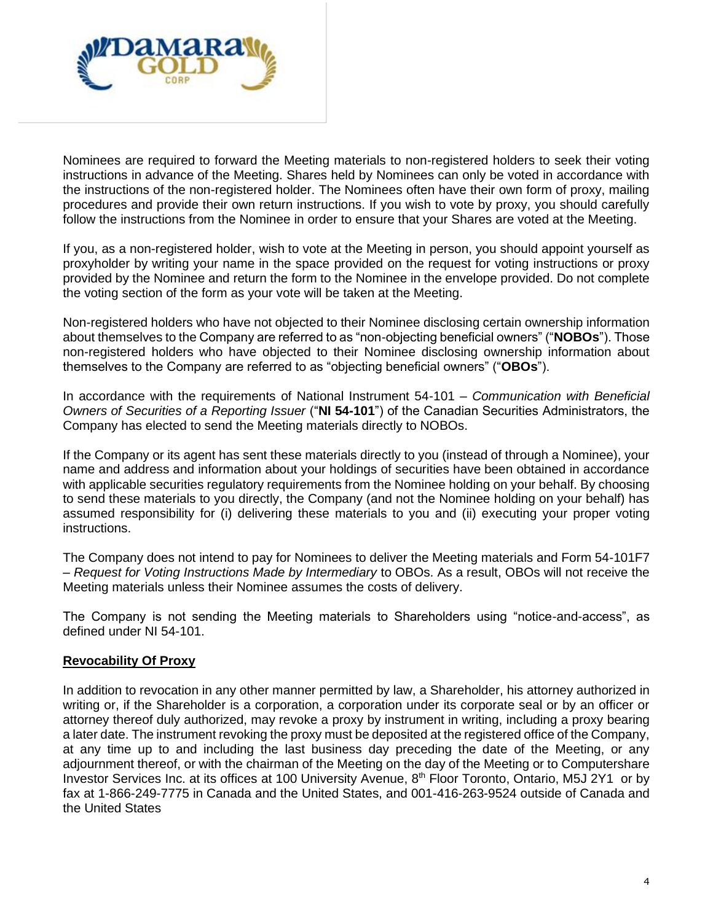

Nominees are required to forward the Meeting materials to non-registered holders to seek their voting instructions in advance of the Meeting. Shares held by Nominees can only be voted in accordance with the instructions of the non-registered holder. The Nominees often have their own form of proxy, mailing procedures and provide their own return instructions. If you wish to vote by proxy, you should carefully follow the instructions from the Nominee in order to ensure that your Shares are voted at the Meeting.

If you, as a non-registered holder, wish to vote at the Meeting in person, you should appoint yourself as proxyholder by writing your name in the space provided on the request for voting instructions or proxy provided by the Nominee and return the form to the Nominee in the envelope provided. Do not complete the voting section of the form as your vote will be taken at the Meeting.

Non-registered holders who have not objected to their Nominee disclosing certain ownership information about themselves to the Company are referred to as "non-objecting beneficial owners" ("**NOBOs**"). Those non-registered holders who have objected to their Nominee disclosing ownership information about themselves to the Company are referred to as "objecting beneficial owners" ("**OBOs**").

In accordance with the requirements of National Instrument 54-101 – *Communication with Beneficial Owners of Securities of a Reporting Issuer* ("**NI 54-101**") of the Canadian Securities Administrators, the Company has elected to send the Meeting materials directly to NOBOs.

If the Company or its agent has sent these materials directly to you (instead of through a Nominee), your name and address and information about your holdings of securities have been obtained in accordance with applicable securities regulatory requirements from the Nominee holding on your behalf. By choosing to send these materials to you directly, the Company (and not the Nominee holding on your behalf) has assumed responsibility for (i) delivering these materials to you and (ii) executing your proper voting instructions.

The Company does not intend to pay for Nominees to deliver the Meeting materials and Form 54-101F7 – *Request for Voting Instructions Made by Intermediary* to OBOs. As a result, OBOs will not receive the Meeting materials unless their Nominee assumes the costs of delivery.

The Company is not sending the Meeting materials to Shareholders using "notice-and-access", as defined under NI 54-101.

## **Revocability Of Proxy**

In addition to revocation in any other manner permitted by law, a Shareholder, his attorney authorized in writing or, if the Shareholder is a corporation, a corporation under its corporate seal or by an officer or attorney thereof duly authorized, may revoke a proxy by instrument in writing, including a proxy bearing a later date. The instrument revoking the proxy must be deposited at the registered office of the Company, at any time up to and including the last business day preceding the date of the Meeting, or any adjournment thereof, or with the chairman of the Meeting on the day of the Meeting or to Computershare Investor Services Inc. at its offices at 100 University Avenue, 8th Floor Toronto, Ontario, M5J 2Y1 or by fax at 1-866-249-7775 in Canada and the United States, and 001-416-263-9524 outside of Canada and the United States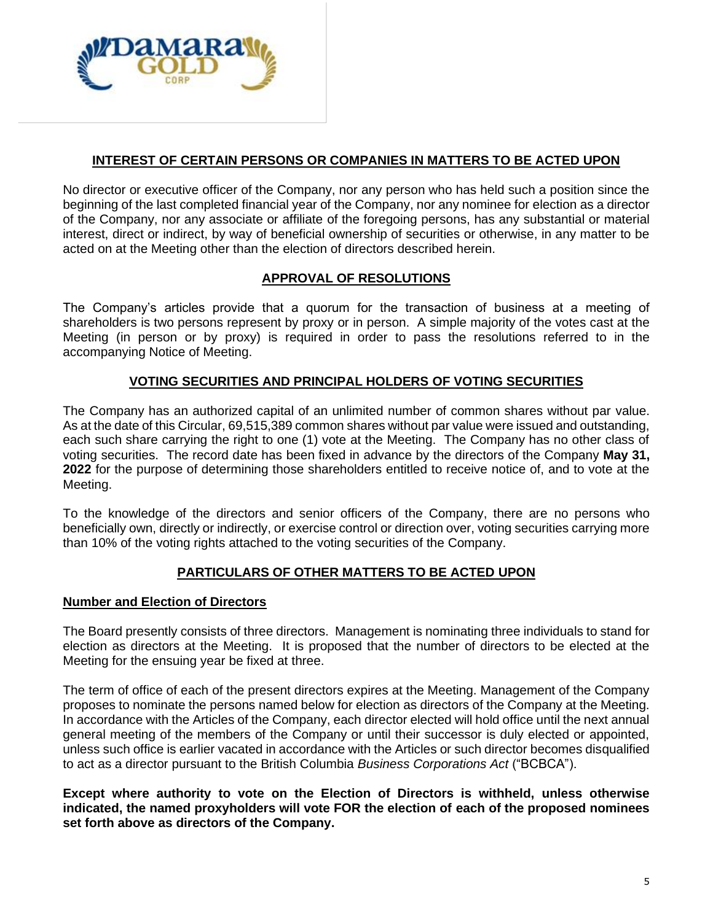

## **INTEREST OF CERTAIN PERSONS OR COMPANIES IN MATTERS TO BE ACTED UPON**

No director or executive officer of the Company, nor any person who has held such a position since the beginning of the last completed financial year of the Company, nor any nominee for election as a director of the Company, nor any associate or affiliate of the foregoing persons, has any substantial or material interest, direct or indirect, by way of beneficial ownership of securities or otherwise, in any matter to be acted on at the Meeting other than the election of directors described herein.

# **APPROVAL OF RESOLUTIONS**

The Company's articles provide that a quorum for the transaction of business at a meeting of shareholders is two persons represent by proxy or in person. A simple majority of the votes cast at the Meeting (in person or by proxy) is required in order to pass the resolutions referred to in the accompanying Notice of Meeting.

### **VOTING SECURITIES AND PRINCIPAL HOLDERS OF VOTING SECURITIES**

The Company has an authorized capital of an unlimited number of common shares without par value. As at the date of this Circular, 69,515,389 common shares without par value were issued and outstanding, each such share carrying the right to one (1) vote at the Meeting. The Company has no other class of voting securities. The record date has been fixed in advance by the directors of the Company **May 31, 2022** for the purpose of determining those shareholders entitled to receive notice of, and to vote at the Meeting.

To the knowledge of the directors and senior officers of the Company, there are no persons who beneficially own, directly or indirectly, or exercise control or direction over, voting securities carrying more than 10% of the voting rights attached to the voting securities of the Company.

## **PARTICULARS OF OTHER MATTERS TO BE ACTED UPON**

#### **Number and Election of Directors**

The Board presently consists of three directors. Management is nominating three individuals to stand for election as directors at the Meeting. It is proposed that the number of directors to be elected at the Meeting for the ensuing year be fixed at three.

The term of office of each of the present directors expires at the Meeting. Management of the Company proposes to nominate the persons named below for election as directors of the Company at the Meeting. In accordance with the Articles of the Company, each director elected will hold office until the next annual general meeting of the members of the Company or until their successor is duly elected or appointed, unless such office is earlier vacated in accordance with the Articles or such director becomes disqualified to act as a director pursuant to the British Columbia *Business Corporations Act* ("BCBCA").

**Except where authority to vote on the Election of Directors is withheld, unless otherwise indicated, the named proxyholders will vote FOR the election of each of the proposed nominees set forth above as directors of the Company.**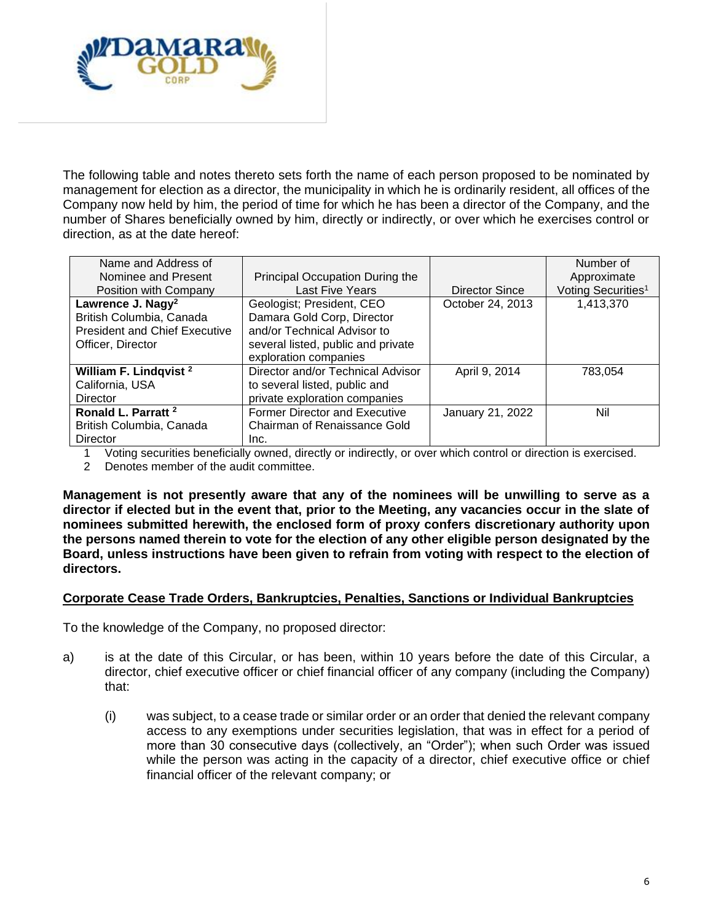

The following table and notes thereto sets forth the name of each person proposed to be nominated by management for election as a director, the municipality in which he is ordinarily resident, all offices of the Company now held by him, the period of time for which he has been a director of the Company, and the number of Shares beneficially owned by him, directly or indirectly, or over which he exercises control or direction, as at the date hereof:

| Name and Address of                  |                                      |                  | Number of                      |
|--------------------------------------|--------------------------------------|------------------|--------------------------------|
| Nominee and Present                  | Principal Occupation During the      |                  | Approximate                    |
| Position with Company                | <b>Last Five Years</b>               | Director Since   | Voting Securities <sup>1</sup> |
| Lawrence J. Nagy <sup>2</sup>        | Geologist; President, CEO            | October 24, 2013 | 1,413,370                      |
| British Columbia, Canada             | Damara Gold Corp, Director           |                  |                                |
| <b>President and Chief Executive</b> | and/or Technical Advisor to          |                  |                                |
| Officer, Director                    | several listed, public and private   |                  |                                |
|                                      | exploration companies                |                  |                                |
| William F. Lindqvist <sup>2</sup>    | Director and/or Technical Advisor    | April 9, 2014    | 783.054                        |
| California, USA                      | to several listed, public and        |                  |                                |
| Director                             | private exploration companies        |                  |                                |
| Ronald L. Parratt <sup>2</sup>       | <b>Former Director and Executive</b> | January 21, 2022 | Nil                            |
| British Columbia, Canada             | Chairman of Renaissance Gold         |                  |                                |
| <b>Director</b>                      | Inc.                                 |                  |                                |

1 Voting securities beneficially owned, directly or indirectly, or over which control or direction is exercised.

2 Denotes member of the audit committee.

**Management is not presently aware that any of the nominees will be unwilling to serve as a director if elected but in the event that, prior to the Meeting, any vacancies occur in the slate of nominees submitted herewith, the enclosed form of proxy confers discretionary authority upon the persons named therein to vote for the election of any other eligible person designated by the Board, unless instructions have been given to refrain from voting with respect to the election of directors.** 

#### **Corporate Cease Trade Orders, Bankruptcies, Penalties, Sanctions or Individual Bankruptcies**

To the knowledge of the Company, no proposed director:

- a) is at the date of this Circular, or has been, within 10 years before the date of this Circular, a director, chief executive officer or chief financial officer of any company (including the Company) that:
	- (i) was subject, to a cease trade or similar order or an order that denied the relevant company access to any exemptions under securities legislation, that was in effect for a period of more than 30 consecutive days (collectively, an "Order"); when such Order was issued while the person was acting in the capacity of a director, chief executive office or chief financial officer of the relevant company; or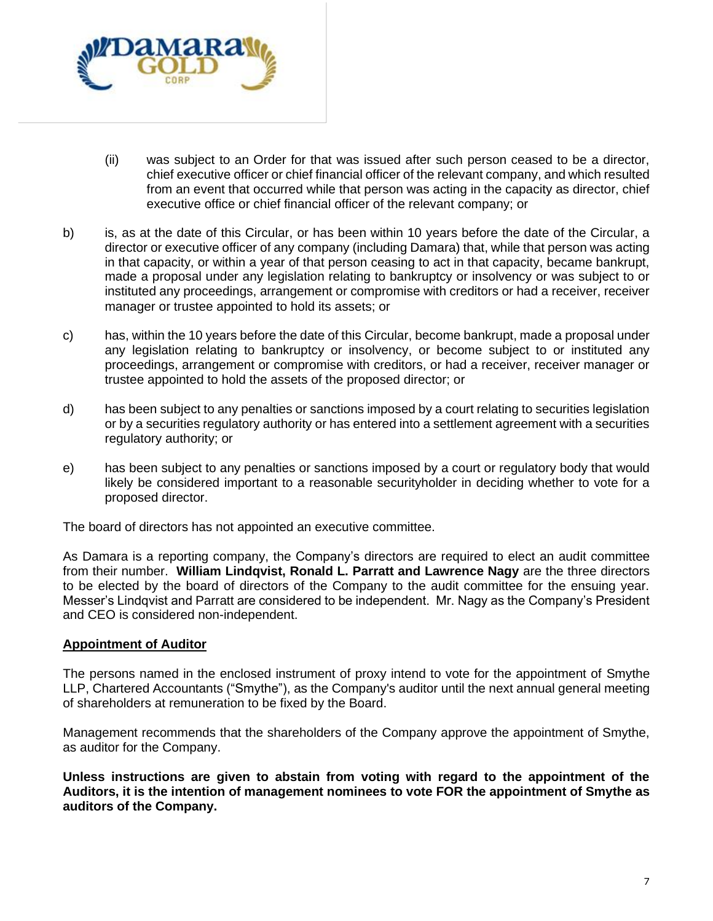

- (ii) was subject to an Order for that was issued after such person ceased to be a director, chief executive officer or chief financial officer of the relevant company, and which resulted from an event that occurred while that person was acting in the capacity as director, chief executive office or chief financial officer of the relevant company; or
- b) is, as at the date of this Circular, or has been within 10 years before the date of the Circular, a director or executive officer of any company (including Damara) that, while that person was acting in that capacity, or within a year of that person ceasing to act in that capacity, became bankrupt, made a proposal under any legislation relating to bankruptcy or insolvency or was subject to or instituted any proceedings, arrangement or compromise with creditors or had a receiver, receiver manager or trustee appointed to hold its assets; or
- c) has, within the 10 years before the date of this Circular, become bankrupt, made a proposal under any legislation relating to bankruptcy or insolvency, or become subject to or instituted any proceedings, arrangement or compromise with creditors, or had a receiver, receiver manager or trustee appointed to hold the assets of the proposed director; or
- d) has been subject to any penalties or sanctions imposed by a court relating to securities legislation or by a securities regulatory authority or has entered into a settlement agreement with a securities regulatory authority; or
- e) has been subject to any penalties or sanctions imposed by a court or regulatory body that would likely be considered important to a reasonable securityholder in deciding whether to vote for a proposed director.

The board of directors has not appointed an executive committee.

As Damara is a reporting company, the Company's directors are required to elect an audit committee from their number. **William Lindqvist, Ronald L. Parratt and Lawrence Nagy** are the three directors to be elected by the board of directors of the Company to the audit committee for the ensuing year. Messer's Lindqvist and Parratt are considered to be independent. Mr. Nagy as the Company's President and CEO is considered non-independent.

#### **Appointment of Auditor**

The persons named in the enclosed instrument of proxy intend to vote for the appointment of Smythe LLP, Chartered Accountants ("Smythe"), as the Company's auditor until the next annual general meeting of shareholders at remuneration to be fixed by the Board.

Management recommends that the shareholders of the Company approve the appointment of Smythe, as auditor for the Company.

**Unless instructions are given to abstain from voting with regard to the appointment of the Auditors, it is the intention of management nominees to vote FOR the appointment of Smythe as auditors of the Company.**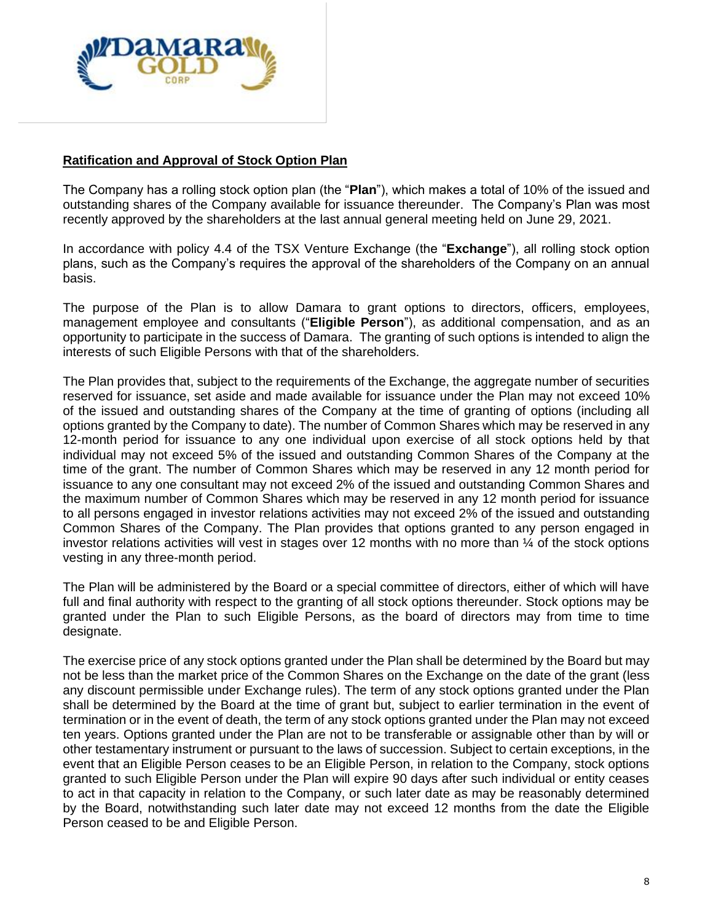

## **Ratification and Approval of Stock Option Plan**

The Company has a rolling stock option plan (the "**Plan**"), which makes a total of 10% of the issued and outstanding shares of the Company available for issuance thereunder. The Company's Plan was most recently approved by the shareholders at the last annual general meeting held on June 29, 2021.

In accordance with policy 4.4 of the TSX Venture Exchange (the "**Exchange**"), all rolling stock option plans, such as the Company's requires the approval of the shareholders of the Company on an annual basis.

The purpose of the Plan is to allow Damara to grant options to directors, officers, employees, management employee and consultants ("**Eligible Person**"), as additional compensation, and as an opportunity to participate in the success of Damara. The granting of such options is intended to align the interests of such Eligible Persons with that of the shareholders.

The Plan provides that, subject to the requirements of the Exchange, the aggregate number of securities reserved for issuance, set aside and made available for issuance under the Plan may not exceed 10% of the issued and outstanding shares of the Company at the time of granting of options (including all options granted by the Company to date). The number of Common Shares which may be reserved in any 12-month period for issuance to any one individual upon exercise of all stock options held by that individual may not exceed 5% of the issued and outstanding Common Shares of the Company at the time of the grant. The number of Common Shares which may be reserved in any 12 month period for issuance to any one consultant may not exceed 2% of the issued and outstanding Common Shares and the maximum number of Common Shares which may be reserved in any 12 month period for issuance to all persons engaged in investor relations activities may not exceed 2% of the issued and outstanding Common Shares of the Company. The Plan provides that options granted to any person engaged in investor relations activities will vest in stages over 12 months with no more than ¼ of the stock options vesting in any three-month period.

The Plan will be administered by the Board or a special committee of directors, either of which will have full and final authority with respect to the granting of all stock options thereunder. Stock options may be granted under the Plan to such Eligible Persons, as the board of directors may from time to time designate.

The exercise price of any stock options granted under the Plan shall be determined by the Board but may not be less than the market price of the Common Shares on the Exchange on the date of the grant (less any discount permissible under Exchange rules). The term of any stock options granted under the Plan shall be determined by the Board at the time of grant but, subject to earlier termination in the event of termination or in the event of death, the term of any stock options granted under the Plan may not exceed ten years. Options granted under the Plan are not to be transferable or assignable other than by will or other testamentary instrument or pursuant to the laws of succession. Subject to certain exceptions, in the event that an Eligible Person ceases to be an Eligible Person, in relation to the Company, stock options granted to such Eligible Person under the Plan will expire 90 days after such individual or entity ceases to act in that capacity in relation to the Company, or such later date as may be reasonably determined by the Board, notwithstanding such later date may not exceed 12 months from the date the Eligible Person ceased to be and Eligible Person.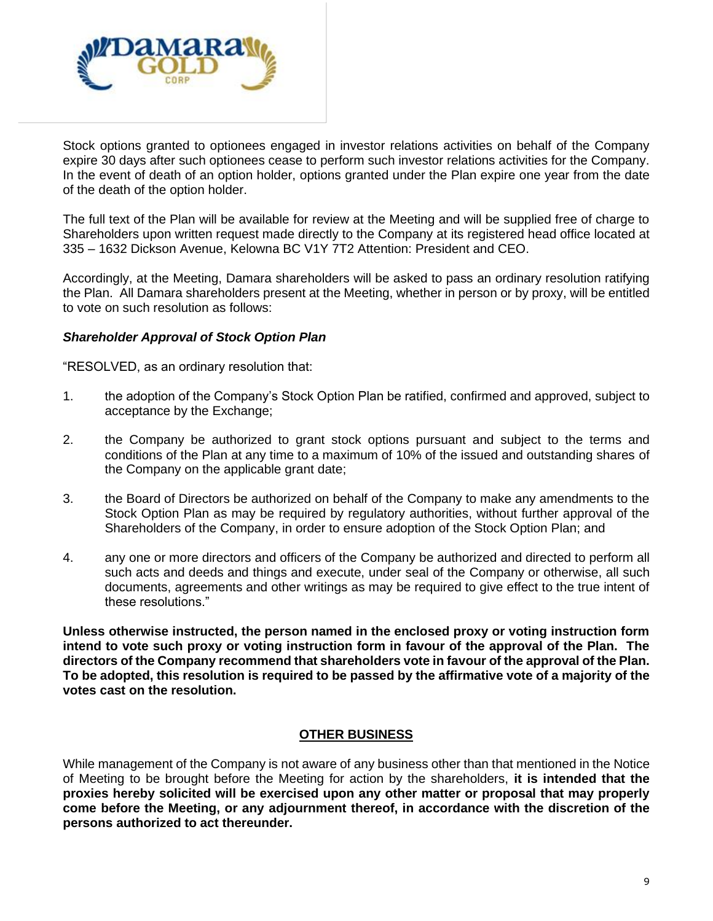

Stock options granted to optionees engaged in investor relations activities on behalf of the Company expire 30 days after such optionees cease to perform such investor relations activities for the Company. In the event of death of an option holder, options granted under the Plan expire one year from the date of the death of the option holder.

The full text of the Plan will be available for review at the Meeting and will be supplied free of charge to Shareholders upon written request made directly to the Company at its registered head office located at 335 – 1632 Dickson Avenue, Kelowna BC V1Y 7T2 Attention: President and CEO.

Accordingly, at the Meeting, Damara shareholders will be asked to pass an ordinary resolution ratifying the Plan. All Damara shareholders present at the Meeting, whether in person or by proxy, will be entitled to vote on such resolution as follows:

### *Shareholder Approval of Stock Option Plan*

"RESOLVED, as an ordinary resolution that:

- 1. the adoption of the Company's Stock Option Plan be ratified, confirmed and approved, subject to acceptance by the Exchange;
- 2. the Company be authorized to grant stock options pursuant and subject to the terms and conditions of the Plan at any time to a maximum of 10% of the issued and outstanding shares of the Company on the applicable grant date;
- 3. the Board of Directors be authorized on behalf of the Company to make any amendments to the Stock Option Plan as may be required by regulatory authorities, without further approval of the Shareholders of the Company, in order to ensure adoption of the Stock Option Plan; and
- 4. any one or more directors and officers of the Company be authorized and directed to perform all such acts and deeds and things and execute, under seal of the Company or otherwise, all such documents, agreements and other writings as may be required to give effect to the true intent of these resolutions."

**Unless otherwise instructed, the person named in the enclosed proxy or voting instruction form intend to vote such proxy or voting instruction form in favour of the approval of the Plan. The directors of the Company recommend that shareholders vote in favour of the approval of the Plan. To be adopted, this resolution is required to be passed by the affirmative vote of a majority of the votes cast on the resolution.**

#### **OTHER BUSINESS**

While management of the Company is not aware of any business other than that mentioned in the Notice of Meeting to be brought before the Meeting for action by the shareholders, **it is intended that the proxies hereby solicited will be exercised upon any other matter or proposal that may properly come before the Meeting, or any adjournment thereof, in accordance with the discretion of the persons authorized to act thereunder.**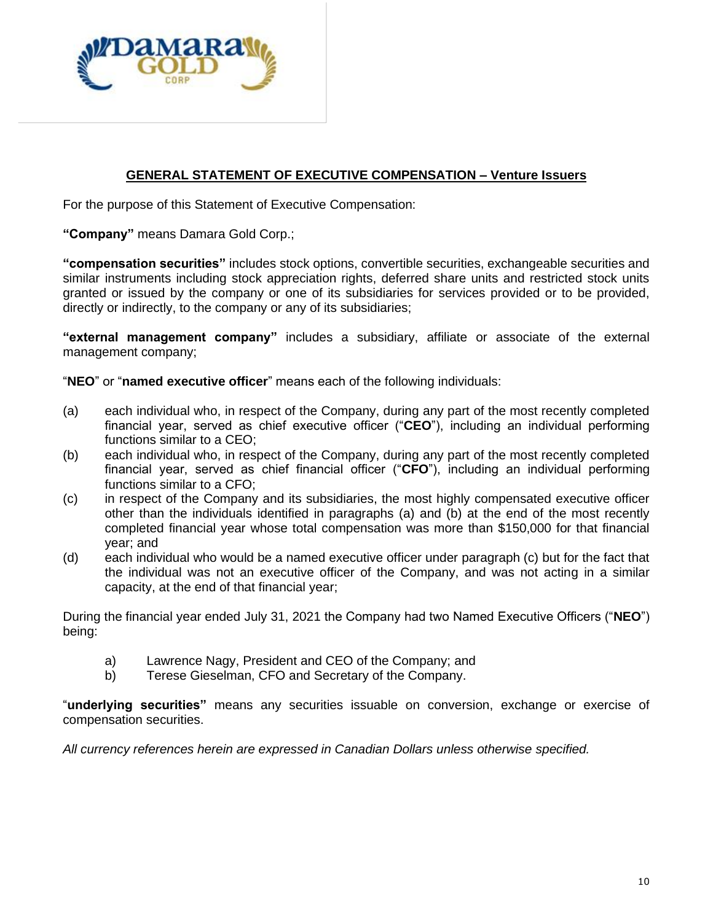

# **GENERAL STATEMENT OF EXECUTIVE COMPENSATION – Venture Issuers**

For the purpose of this Statement of Executive Compensation:

**"Company"** means Damara Gold Corp.;

**"compensation securities"** includes stock options, convertible securities, exchangeable securities and similar instruments including stock appreciation rights, deferred share units and restricted stock units granted or issued by the company or one of its subsidiaries for services provided or to be provided, directly or indirectly, to the company or any of its subsidiaries;

**"external management company"** includes a subsidiary, affiliate or associate of the external management company;

"**NEO**" or "**named executive officer**" means each of the following individuals:

- (a) each individual who, in respect of the Company, during any part of the most recently completed financial year, served as chief executive officer ("**CEO**"), including an individual performing functions similar to a CEO;
- (b) each individual who, in respect of the Company, during any part of the most recently completed financial year, served as chief financial officer ("**CFO**"), including an individual performing functions similar to a CFO;
- (c) in respect of the Company and its subsidiaries, the most highly compensated executive officer other than the individuals identified in paragraphs (a) and (b) at the end of the most recently completed financial year whose total compensation was more than \$150,000 for that financial year; and
- (d) each individual who would be a named executive officer under paragraph (c) but for the fact that the individual was not an executive officer of the Company, and was not acting in a similar capacity, at the end of that financial year;

During the financial year ended July 31, 2021 the Company had two Named Executive Officers ("**NEO**") being:

- a) Lawrence Nagy, President and CEO of the Company; and
- b) Terese Gieselman, CFO and Secretary of the Company.

"**underlying securities"** means any securities issuable on conversion, exchange or exercise of compensation securities.

*All currency references herein are expressed in Canadian Dollars unless otherwise specified.*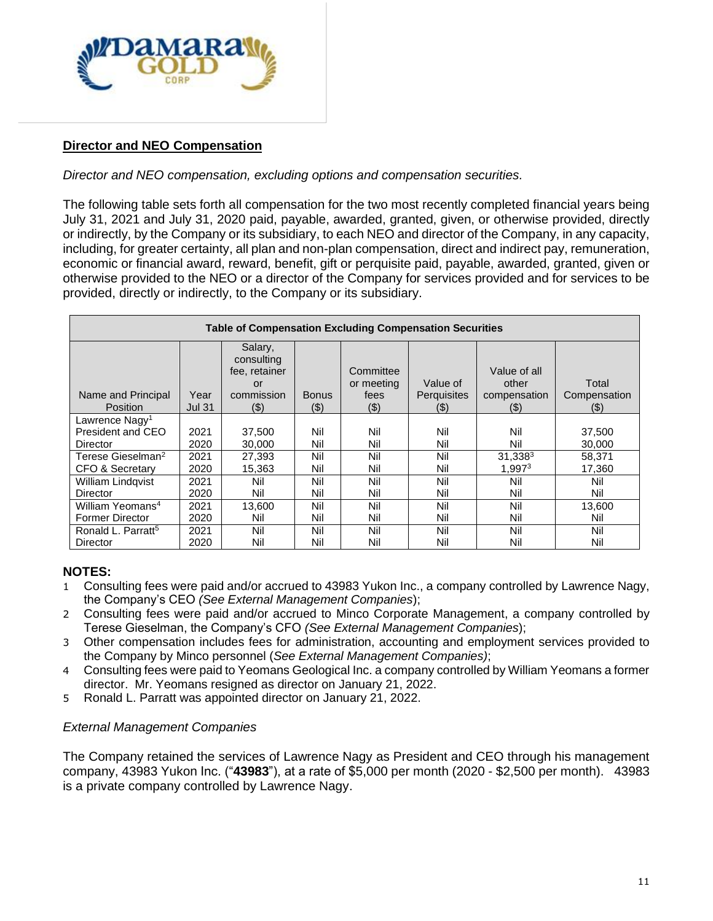

## **Director and NEO Compensation**

### *Director and NEO compensation, excluding options and compensation securities.*

The following table sets forth all compensation for the two most recently completed financial years being July 31, 2021 and July 31, 2020 paid, payable, awarded, granted, given, or otherwise provided, directly or indirectly, by the Company or its subsidiary, to each NEO and director of the Company, in any capacity, including, for greater certainty, all plan and non-plan compensation, direct and indirect pay, remuneration, economic or financial award, reward, benefit, gift or perquisite paid, payable, awarded, granted, given or otherwise provided to the NEO or a director of the Company for services provided and for services to be provided, directly or indirectly, to the Company or its subsidiary.

| <b>Table of Compensation Excluding Compensation Securities</b> |               |                                              |              |                         |             |                       |              |
|----------------------------------------------------------------|---------------|----------------------------------------------|--------------|-------------------------|-------------|-----------------------|--------------|
|                                                                |               | Salary,<br>consulting<br>fee, retainer<br>or |              | Committee<br>or meeting | Value of    | Value of all<br>other | Total        |
| Name and Principal                                             | Year          | commission                                   | <b>Bonus</b> | fees                    | Perquisites | compensation          | Compensation |
| <b>Position</b>                                                | <b>Jul 31</b> | (3)                                          | $(\$)$       | (3)                     | $($ \$)     | (3)                   | $($ \$)      |
| Lawrence Nagy <sup>1</sup>                                     |               |                                              |              |                         |             |                       |              |
| President and CEO                                              | 2021          | 37.500                                       | Nil          | Nil                     | Nil         | Nil                   | 37,500       |
| Director                                                       | 2020          | 30,000                                       | Nil          | Nil                     | Nil         | Nil                   | 30,000       |
| Terese Gieselman <sup>2</sup>                                  | 2021          | 27,393                                       | Nil          | Nil                     | Nil         | $31,338^3$            | 58,371       |
| CFO & Secretary                                                | 2020          | 15,363                                       | Nil          | Nil                     | Nil         | 1.997 <sup>3</sup>    | 17,360       |
| <b>William Lindgvist</b>                                       | 2021          | Nil                                          | Nil          | Nil                     | Nil         | Nil                   | Nil          |
| Director                                                       | 2020          | Nil                                          | Nil          | Nil                     | Nil         | Nil                   | Nil          |
| William Yeomans <sup>4</sup>                                   | 2021          | 13.600                                       | Nil          | Nil                     | Nil         | Nil                   | 13,600       |
| <b>Former Director</b>                                         | 2020          | Nil                                          | Nil          | Nil                     | Nil         | Nil                   | Nil          |
| Ronald L. Parratt <sup>5</sup>                                 | 2021          | Nil                                          | Nil          | Nil                     | Nil         | Nil                   | Nil          |
| Director                                                       | 2020          | Nil                                          | Nil          | Nil                     | Nil         | Nil                   | Nil          |

## **NOTES:**

- 1 Consulting fees were paid and/or accrued to 43983 Yukon Inc., a company controlled by Lawrence Nagy, the Company's CEO *(See External Management Companies*);
- 2 Consulting fees were paid and/or accrued to Minco Corporate Management, a company controlled by Terese Gieselman, the Company's CFO *(See External Management Companies*);
- 3 Other compensation includes fees for administration, accounting and employment services provided to the Company by Minco personnel (*See External Management Companies)*;
- 4 Consulting fees were paid to Yeomans Geological Inc. a company controlled by William Yeomans a former director. Mr. Yeomans resigned as director on January 21, 2022.
- 5 Ronald L. Parratt was appointed director on January 21, 2022.

#### *External Management Companies*

The Company retained the services of Lawrence Nagy as President and CEO through his management company, 43983 Yukon Inc. ("**43983**"), at a rate of \$5,000 per month (2020 - \$2,500 per month). 43983 is a private company controlled by Lawrence Nagy.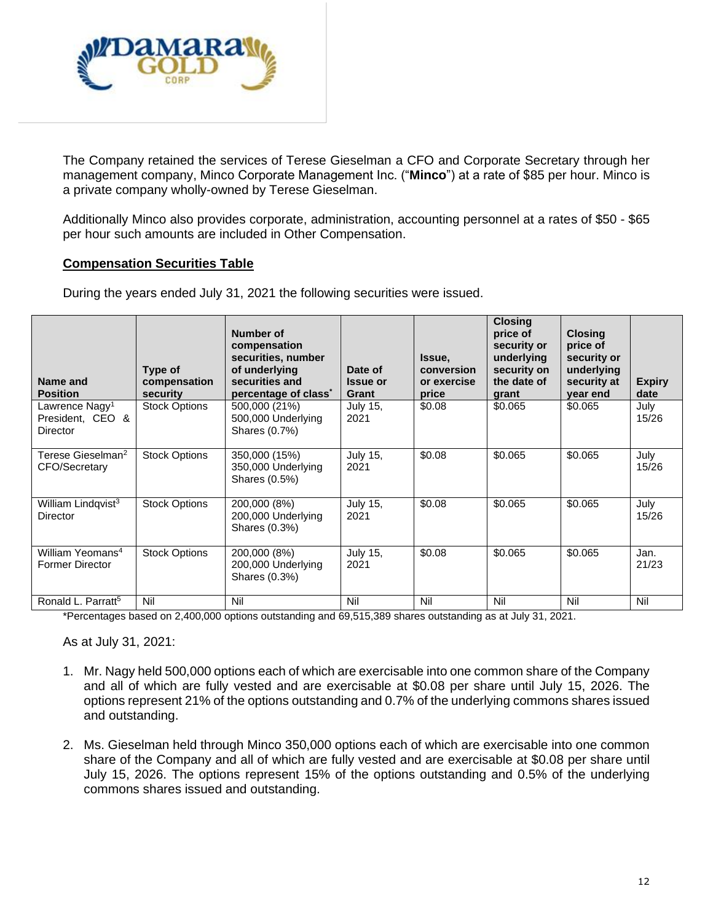

The Company retained the services of Terese Gieselman a CFO and Corporate Secretary through her management company, Minco Corporate Management Inc. ("**Minco**") at a rate of \$85 per hour. Minco is a private company wholly-owned by Terese Gieselman.

Additionally Minco also provides corporate, administration, accounting personnel at a rates of \$50 - \$65 per hour such amounts are included in Other Compensation.

## **Compensation Securities Table**

| Name and<br><b>Position</b>                                | Type of<br>compensation<br>security | Number of<br>compensation<br>securities, number<br>of underlying<br>securities and<br>percentage of class <sup>*</sup> | Date of<br><b>Issue or</b><br>Grant | Issue,<br>conversion<br>or exercise<br>price | <b>Closing</b><br>price of<br>security or<br>underlying<br>security on<br>the date of<br>grant | <b>Closing</b><br>price of<br>security or<br>underlying<br>security at<br>year end | <b>Expiry</b><br>date |
|------------------------------------------------------------|-------------------------------------|------------------------------------------------------------------------------------------------------------------------|-------------------------------------|----------------------------------------------|------------------------------------------------------------------------------------------------|------------------------------------------------------------------------------------|-----------------------|
| Lawrence Nagy <sup>1</sup><br>President, CEO &<br>Director | <b>Stock Options</b>                | 500,000 (21%)<br>500,000 Underlying<br>Shares (0.7%)                                                                   | <b>July 15,</b><br>2021             | \$0.08                                       | \$0.065                                                                                        | \$0.065                                                                            | July<br>15/26         |
| Terese Gieselman <sup>2</sup><br>CFO/Secretary             | <b>Stock Options</b>                | 350,000 (15%)<br>350,000 Underlying<br>Shares (0.5%)                                                                   | <b>July 15.</b><br>2021             | \$0.08                                       | \$0.065                                                                                        | \$0.065                                                                            | July<br>15/26         |
| William Lindqvist <sup>3</sup><br>Director                 | <b>Stock Options</b>                | 200,000 (8%)<br>200,000 Underlying<br>Shares (0.3%)                                                                    | <b>July 15,</b><br>2021             | \$0.08                                       | \$0.065                                                                                        | \$0.065                                                                            | July<br>15/26         |
| William Yeomans <sup>4</sup><br><b>Former Director</b>     | <b>Stock Options</b>                | 200,000 (8%)<br>200,000 Underlying<br>Shares (0.3%)                                                                    | <b>July 15,</b><br>2021             | \$0.08                                       | \$0.065                                                                                        | \$0.065                                                                            | Jan.<br>21/23         |
| Ronald L. Parratt <sup>5</sup>                             | Nil                                 | Nil                                                                                                                    | Nil                                 | Nil                                          | Nil                                                                                            | Nil                                                                                | Nil                   |

During the years ended July 31, 2021 the following securities were issued.

\*Percentages based on 2,400,000 options outstanding and 69,515,389 shares outstanding as at July 31, 2021.

As at July 31, 2021:

- 1. Mr. Nagy held 500,000 options each of which are exercisable into one common share of the Company and all of which are fully vested and are exercisable at \$0.08 per share until July 15, 2026. The options represent 21% of the options outstanding and 0.7% of the underlying commons shares issued and outstanding.
- 2. Ms. Gieselman held through Minco 350,000 options each of which are exercisable into one common share of the Company and all of which are fully vested and are exercisable at \$0.08 per share until July 15, 2026. The options represent 15% of the options outstanding and 0.5% of the underlying commons shares issued and outstanding.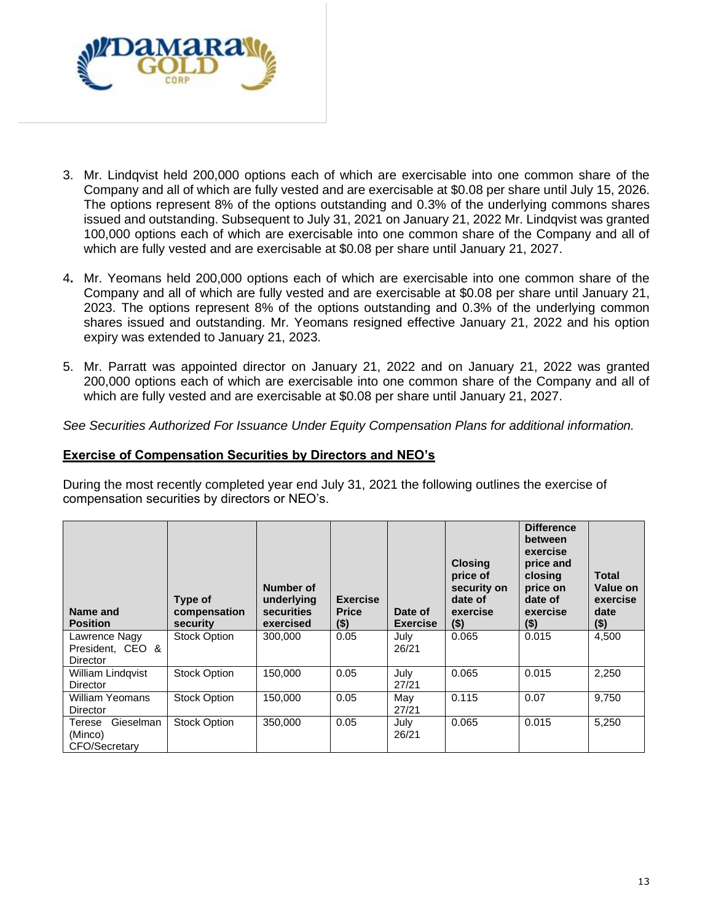

- 3. Mr. Lindqvist held 200,000 options each of which are exercisable into one common share of the Company and all of which are fully vested and are exercisable at \$0.08 per share until July 15, 2026. The options represent 8% of the options outstanding and 0.3% of the underlying commons shares issued and outstanding. Subsequent to July 31, 2021 on January 21, 2022 Mr. Lindqvist was granted 100,000 options each of which are exercisable into one common share of the Company and all of which are fully vested and are exercisable at \$0.08 per share until January 21, 2027.
- 4**.** Mr. Yeomans held 200,000 options each of which are exercisable into one common share of the Company and all of which are fully vested and are exercisable at \$0.08 per share until January 21, 2023. The options represent 8% of the options outstanding and 0.3% of the underlying common shares issued and outstanding. Mr. Yeomans resigned effective January 21, 2022 and his option expiry was extended to January 21, 2023.
- 5. Mr. Parratt was appointed director on January 21, 2022 and on January 21, 2022 was granted 200,000 options each of which are exercisable into one common share of the Company and all of which are fully vested and are exercisable at \$0.08 per share until January 21, 2027.

*See Securities Authorized For Issuance Under Equity Compensation Plans for additional information.*

### **Exercise of Compensation Securities by Directors and NEO's**

During the most recently completed year end July 31, 2021 the following outlines the exercise of compensation securities by directors or NEO's.

| Name and<br><b>Position</b>                     | Type of<br>compensation<br>security | Number of<br>underlying<br>securities<br>exercised | <b>Exercise</b><br><b>Price</b><br>$($ \$) | Date of<br><b>Exercise</b> | <b>Closing</b><br>price of<br>security on<br>date of<br>exercise<br>$($ \$) | <b>Difference</b><br>between<br>exercise<br>price and<br>closina<br>price on<br>date of<br>exercise<br>$($ \$) | Total<br>Value on<br>exercise<br>date<br>$($ \$) |
|-------------------------------------------------|-------------------------------------|----------------------------------------------------|--------------------------------------------|----------------------------|-----------------------------------------------------------------------------|----------------------------------------------------------------------------------------------------------------|--------------------------------------------------|
| Lawrence Nagy<br>President, CEO &<br>Director   | Stock Option                        | 300,000                                            | 0.05                                       | July<br>26/21              | 0.065                                                                       | 0.015                                                                                                          | 4,500                                            |
| <b>William Lindgvist</b><br>Director            | <b>Stock Option</b>                 | 150,000                                            | 0.05                                       | July<br>27/21              | 0.065                                                                       | 0.015                                                                                                          | 2,250                                            |
| William Yeomans<br>Director                     | <b>Stock Option</b>                 | 150,000                                            | 0.05                                       | May<br>27/21               | 0.115                                                                       | 0.07                                                                                                           | 9,750                                            |
| Gieselman<br>Terese<br>(Minco)<br>CFO/Secretary | <b>Stock Option</b>                 | 350,000                                            | 0.05                                       | July<br>26/21              | 0.065                                                                       | 0.015                                                                                                          | 5,250                                            |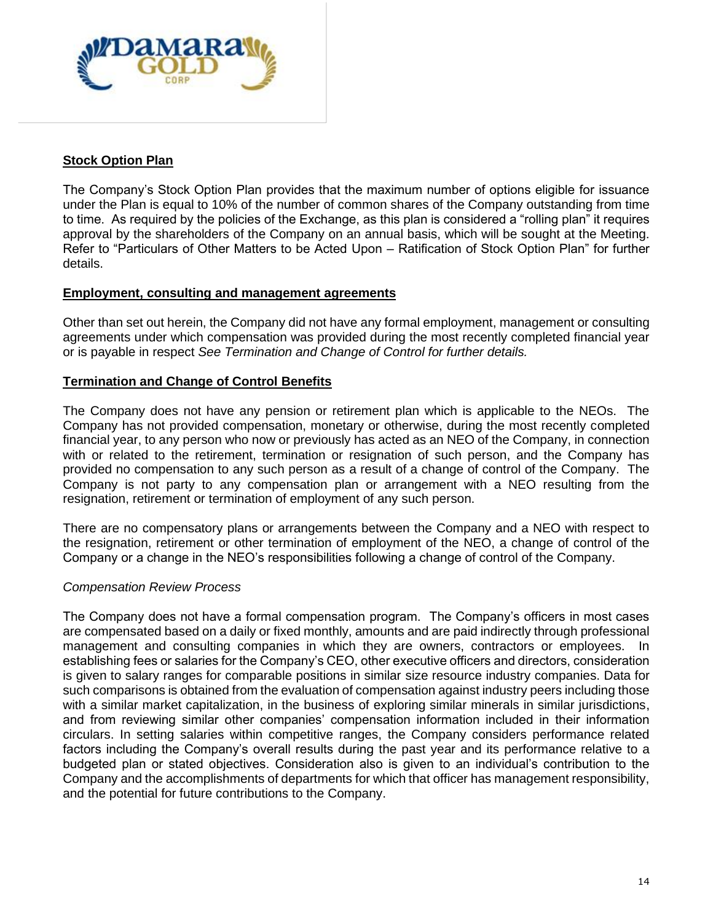

# **Stock Option Plan**

The Company's Stock Option Plan provides that the maximum number of options eligible for issuance under the Plan is equal to 10% of the number of common shares of the Company outstanding from time to time. As required by the policies of the Exchange, as this plan is considered a "rolling plan" it requires approval by the shareholders of the Company on an annual basis, which will be sought at the Meeting. Refer to "Particulars of Other Matters to be Acted Upon – Ratification of Stock Option Plan" for further details.

### **Employment, consulting and management agreements**

Other than set out herein, the Company did not have any formal employment, management or consulting agreements under which compensation was provided during the most recently completed financial year or is payable in respect *See Termination and Change of Control for further details.*

## **Termination and Change of Control Benefits**

The Company does not have any pension or retirement plan which is applicable to the NEOs. The Company has not provided compensation, monetary or otherwise, during the most recently completed financial year, to any person who now or previously has acted as an NEO of the Company, in connection with or related to the retirement, termination or resignation of such person, and the Company has provided no compensation to any such person as a result of a change of control of the Company. The Company is not party to any compensation plan or arrangement with a NEO resulting from the resignation, retirement or termination of employment of any such person.

There are no compensatory plans or arrangements between the Company and a NEO with respect to the resignation, retirement or other termination of employment of the NEO, a change of control of the Company or a change in the NEO's responsibilities following a change of control of the Company.

#### *Compensation Review Process*

The Company does not have a formal compensation program. The Company's officers in most cases are compensated based on a daily or fixed monthly, amounts and are paid indirectly through professional management and consulting companies in which they are owners, contractors or employees. In establishing fees or salaries for the Company's CEO, other executive officers and directors, consideration is given to salary ranges for comparable positions in similar size resource industry companies. Data for such comparisons is obtained from the evaluation of compensation against industry peers including those with a similar market capitalization, in the business of exploring similar minerals in similar jurisdictions, and from reviewing similar other companies' compensation information included in their information circulars. In setting salaries within competitive ranges, the Company considers performance related factors including the Company's overall results during the past year and its performance relative to a budgeted plan or stated objectives. Consideration also is given to an individual's contribution to the Company and the accomplishments of departments for which that officer has management responsibility, and the potential for future contributions to the Company.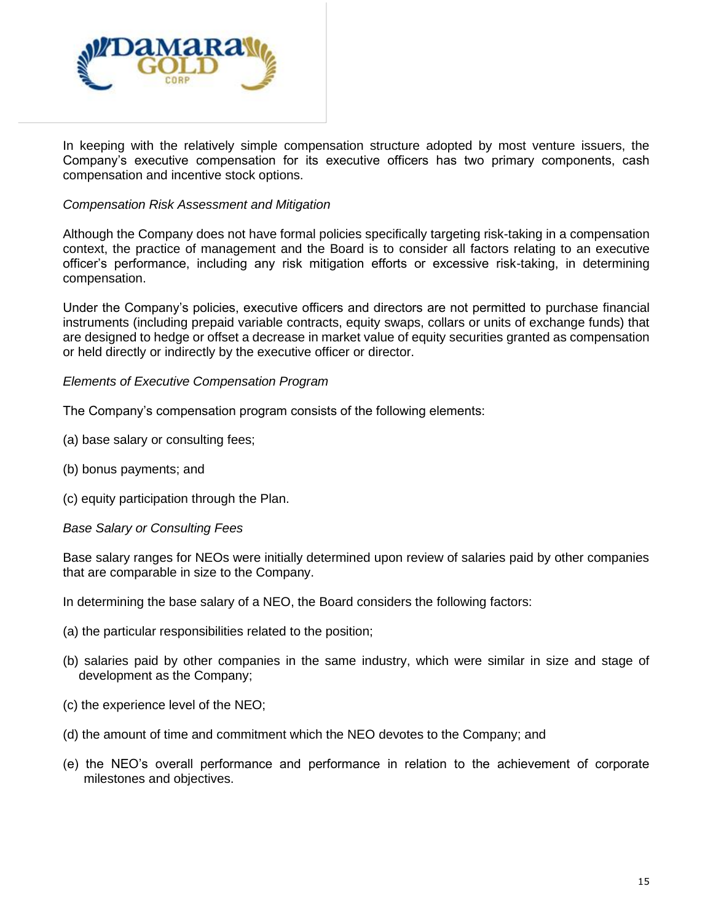

In keeping with the relatively simple compensation structure adopted by most venture issuers, the Company's executive compensation for its executive officers has two primary components, cash compensation and incentive stock options.

## *Compensation Risk Assessment and Mitigation*

Although the Company does not have formal policies specifically targeting risk-taking in a compensation context, the practice of management and the Board is to consider all factors relating to an executive officer's performance, including any risk mitigation efforts or excessive risk-taking, in determining compensation.

Under the Company's policies, executive officers and directors are not permitted to purchase financial instruments (including prepaid variable contracts, equity swaps, collars or units of exchange funds) that are designed to hedge or offset a decrease in market value of equity securities granted as compensation or held directly or indirectly by the executive officer or director.

### *Elements of Executive Compensation Program*

The Company's compensation program consists of the following elements:

- (a) base salary or consulting fees;
- (b) bonus payments; and
- (c) equity participation through the Plan.

#### *Base Salary or Consulting Fees*

Base salary ranges for NEOs were initially determined upon review of salaries paid by other companies that are comparable in size to the Company.

In determining the base salary of a NEO, the Board considers the following factors:

- (a) the particular responsibilities related to the position;
- (b) salaries paid by other companies in the same industry, which were similar in size and stage of development as the Company;
- (c) the experience level of the NEO;
- (d) the amount of time and commitment which the NEO devotes to the Company; and
- (e) the NEO's overall performance and performance in relation to the achievement of corporate milestones and objectives.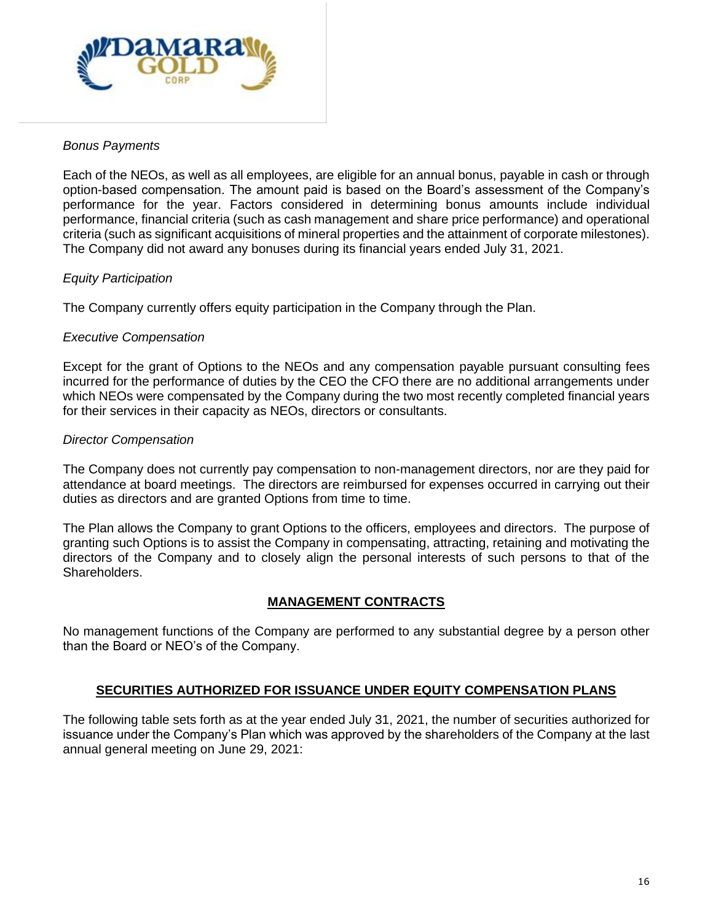

## *Bonus Payments*

Each of the NEOs, as well as all employees, are eligible for an annual bonus, payable in cash or through option-based compensation. The amount paid is based on the Board's assessment of the Company's performance for the year. Factors considered in determining bonus amounts include individual performance, financial criteria (such as cash management and share price performance) and operational criteria (such as significant acquisitions of mineral properties and the attainment of corporate milestones). The Company did not award any bonuses during its financial years ended July 31, 2021.

### *Equity Participation*

The Company currently offers equity participation in the Company through the Plan.

### *Executive Compensation*

Except for the grant of Options to the NEOs and any compensation payable pursuant consulting fees incurred for the performance of duties by the CEO the CFO there are no additional arrangements under which NEOs were compensated by the Company during the two most recently completed financial years for their services in their capacity as NEOs, directors or consultants.

### *Director Compensation*

The Company does not currently pay compensation to non-management directors, nor are they paid for attendance at board meetings. The directors are reimbursed for expenses occurred in carrying out their duties as directors and are granted Options from time to time.

The Plan allows the Company to grant Options to the officers, employees and directors. The purpose of granting such Options is to assist the Company in compensating, attracting, retaining and motivating the directors of the Company and to closely align the personal interests of such persons to that of the Shareholders.

## **MANAGEMENT CONTRACTS**

No management functions of the Company are performed to any substantial degree by a person other than the Board or NEO's of the Company.

#### **SECURITIES AUTHORIZED FOR ISSUANCE UNDER EQUITY COMPENSATION PLANS**

The following table sets forth as at the year ended July 31, 2021, the number of securities authorized for issuance under the Company's Plan which was approved by the shareholders of the Company at the last annual general meeting on June 29, 2021: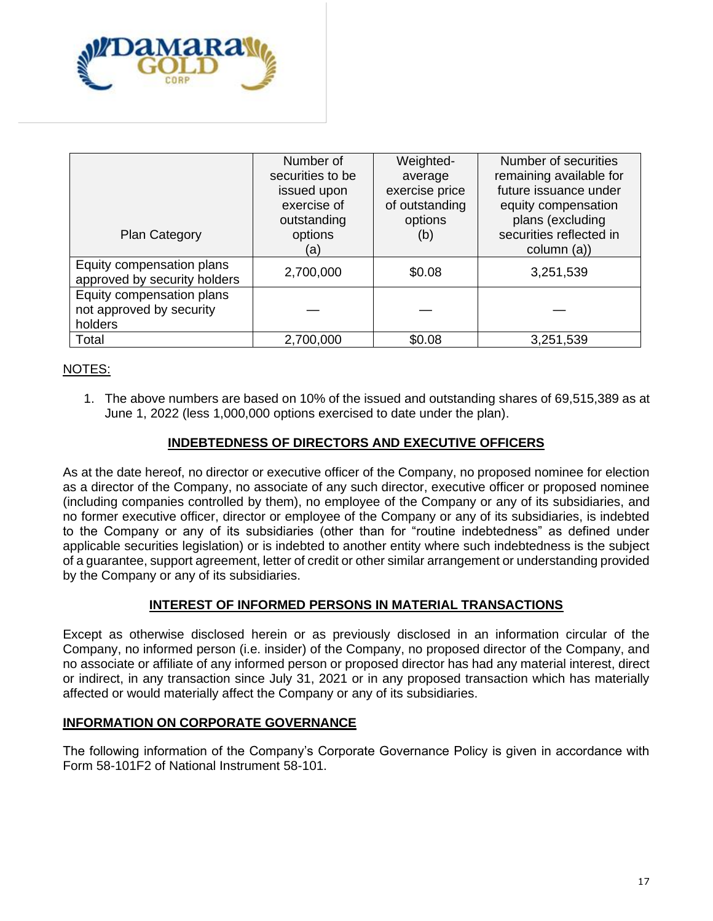

| Plan Category                                                    | Number of<br>securities to be<br>issued upon<br>exercise of<br>outstanding<br>options | Weighted-<br>average<br>exercise price<br>of outstanding<br>options<br>(b) | Number of securities<br>remaining available for<br>future issuance under<br>equity compensation<br>plans (excluding<br>securities reflected in |
|------------------------------------------------------------------|---------------------------------------------------------------------------------------|----------------------------------------------------------------------------|------------------------------------------------------------------------------------------------------------------------------------------------|
|                                                                  | (a)                                                                                   |                                                                            | column (a))                                                                                                                                    |
| Equity compensation plans<br>approved by security holders        | 2,700,000                                                                             | \$0.08                                                                     | 3,251,539                                                                                                                                      |
| Equity compensation plans<br>not approved by security<br>holders |                                                                                       |                                                                            |                                                                                                                                                |
| Total                                                            | 2,700,000                                                                             | \$0.08                                                                     | 3,251,539                                                                                                                                      |

# NOTES:

1. The above numbers are based on 10% of the issued and outstanding shares of 69,515,389 as at June 1, 2022 (less 1,000,000 options exercised to date under the plan).

## **INDEBTEDNESS OF DIRECTORS AND EXECUTIVE OFFICERS**

As at the date hereof, no director or executive officer of the Company, no proposed nominee for election as a director of the Company, no associate of any such director, executive officer or proposed nominee (including companies controlled by them), no employee of the Company or any of its subsidiaries, and no former executive officer, director or employee of the Company or any of its subsidiaries, is indebted to the Company or any of its subsidiaries (other than for "routine indebtedness" as defined under applicable securities legislation) or is indebted to another entity where such indebtedness is the subject of a guarantee, support agreement, letter of credit or other similar arrangement or understanding provided by the Company or any of its subsidiaries.

#### **INTEREST OF INFORMED PERSONS IN MATERIAL TRANSACTIONS**

Except as otherwise disclosed herein or as previously disclosed in an information circular of the Company, no informed person (i.e. insider) of the Company, no proposed director of the Company, and no associate or affiliate of any informed person or proposed director has had any material interest, direct or indirect, in any transaction since July 31, 2021 or in any proposed transaction which has materially affected or would materially affect the Company or any of its subsidiaries.

#### **INFORMATION ON CORPORATE GOVERNANCE**

The following information of the Company's Corporate Governance Policy is given in accordance with Form 58-101F2 of National Instrument 58-101.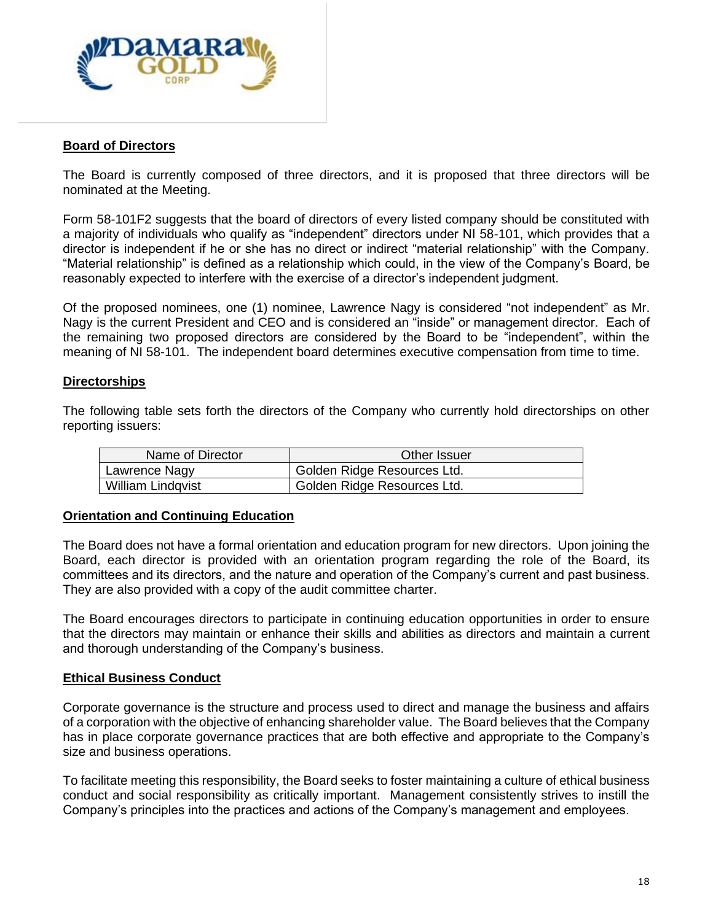

### **Board of Directors**

The Board is currently composed of three directors, and it is proposed that three directors will be nominated at the Meeting.

Form 58-101F2 suggests that the board of directors of every listed company should be constituted with a majority of individuals who qualify as "independent" directors under NI 58-101, which provides that a director is independent if he or she has no direct or indirect "material relationship" with the Company. "Material relationship" is defined as a relationship which could, in the view of the Company's Board, be reasonably expected to interfere with the exercise of a director's independent judgment.

Of the proposed nominees, one (1) nominee, Lawrence Nagy is considered "not independent" as Mr. Nagy is the current President and CEO and is considered an "inside" or management director. Each of the remaining two proposed directors are considered by the Board to be "independent", within the meaning of NI 58-101. The independent board determines executive compensation from time to time.

### **Directorships**

The following table sets forth the directors of the Company who currently hold directorships on other reporting issuers:

| Name of Director  | Other Issuer                |
|-------------------|-----------------------------|
| Lawrence Nagy     | Golden Ridge Resources Ltd. |
| William Lindqvist | Golden Ridge Resources Ltd. |

#### **Orientation and Continuing Education**

The Board does not have a formal orientation and education program for new directors. Upon joining the Board, each director is provided with an orientation program regarding the role of the Board, its committees and its directors, and the nature and operation of the Company's current and past business. They are also provided with a copy of the audit committee charter.

The Board encourages directors to participate in continuing education opportunities in order to ensure that the directors may maintain or enhance their skills and abilities as directors and maintain a current and thorough understanding of the Company's business.

#### **Ethical Business Conduct**

Corporate governance is the structure and process used to direct and manage the business and affairs of a corporation with the objective of enhancing shareholder value. The Board believes that the Company has in place corporate governance practices that are both effective and appropriate to the Company's size and business operations.

To facilitate meeting this responsibility, the Board seeks to foster maintaining a culture of ethical business conduct and social responsibility as critically important. Management consistently strives to instill the Company's principles into the practices and actions of the Company's management and employees.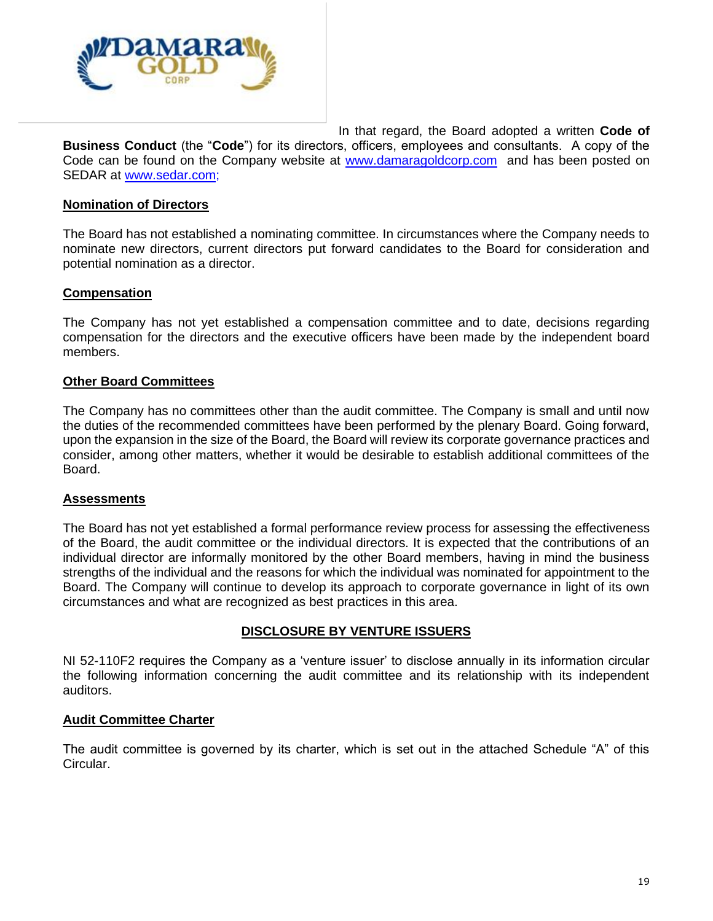

In that regard, the Board adopted a written **Code of Business Conduct** (the "**Code**") for its directors, officers, employees and consultants. A copy of the Code can be found on the Company website at [www.damaragoldcorp.com](http://www.damaragoldcorp.com/) and has been posted on SEDAR at [www.sedar.com;](http://www.sedar.com/)

#### **Nomination of Directors**

The Board has not established a nominating committee. In circumstances where the Company needs to nominate new directors, current directors put forward candidates to the Board for consideration and potential nomination as a director.

### **Compensation**

The Company has not yet established a compensation committee and to date, decisions regarding compensation for the directors and the executive officers have been made by the independent board members.

#### **Other Board Committees**

The Company has no committees other than the audit committee. The Company is small and until now the duties of the recommended committees have been performed by the plenary Board. Going forward, upon the expansion in the size of the Board, the Board will review its corporate governance practices and consider, among other matters, whether it would be desirable to establish additional committees of the Board.

#### **Assessments**

The Board has not yet established a formal performance review process for assessing the effectiveness of the Board, the audit committee or the individual directors. It is expected that the contributions of an individual director are informally monitored by the other Board members, having in mind the business strengths of the individual and the reasons for which the individual was nominated for appointment to the Board. The Company will continue to develop its approach to corporate governance in light of its own circumstances and what are recognized as best practices in this area.

#### **DISCLOSURE BY VENTURE ISSUERS**

NI 52-110F2 requires the Company as a 'venture issuer' to disclose annually in its information circular the following information concerning the audit committee and its relationship with its independent auditors.

#### **Audit Committee Charter**

The audit committee is governed by its charter, which is set out in the attached Schedule "A" of this Circular.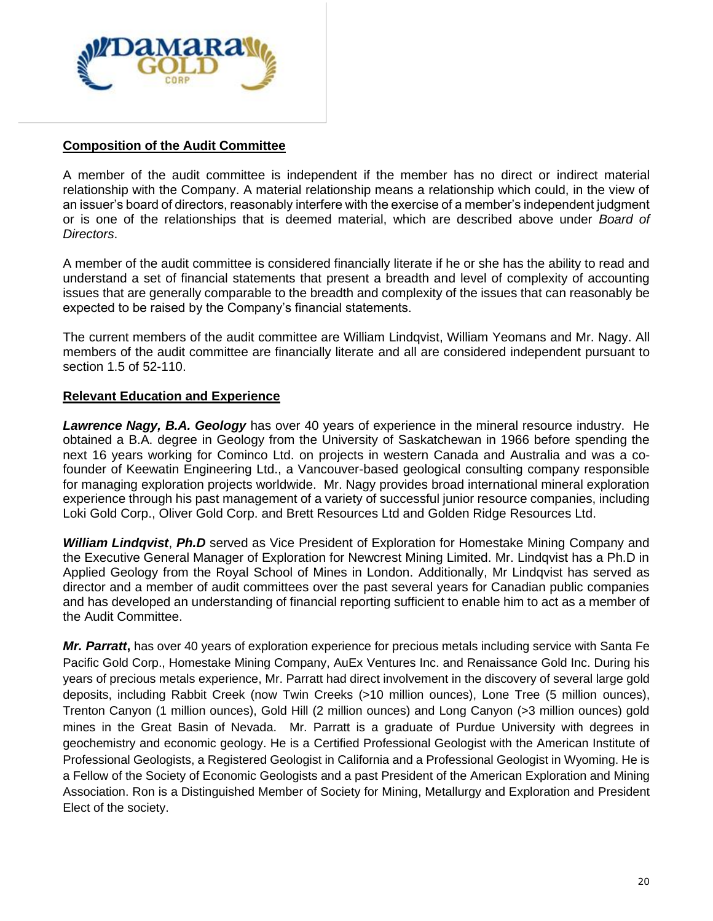

#### **Composition of the Audit Committee**

A member of the audit committee is independent if the member has no direct or indirect material relationship with the Company. A material relationship means a relationship which could, in the view of an issuer's board of directors, reasonably interfere with the exercise of a member's independent judgment or is one of the relationships that is deemed material, which are described above under *Board of Directors*.

A member of the audit committee is considered financially literate if he or she has the ability to read and understand a set of financial statements that present a breadth and level of complexity of accounting issues that are generally comparable to the breadth and complexity of the issues that can reasonably be expected to be raised by the Company's financial statements.

The current members of the audit committee are William Lindqvist, William Yeomans and Mr. Nagy. All members of the audit committee are financially literate and all are considered independent pursuant to section 1.5 of 52-110.

## **Relevant Education and Experience**

*Lawrence Nagy, B.A. Geology* has over 40 years of experience in the mineral resource industry. He obtained a B.A. degree in Geology from the University of Saskatchewan in 1966 before spending the next 16 years working for Cominco Ltd. on projects in western Canada and Australia and was a cofounder of Keewatin Engineering Ltd., a Vancouver-based geological consulting company responsible for managing exploration projects worldwide. Mr. Nagy provides broad international mineral exploration experience through his past management of a variety of successful junior resource companies, including Loki Gold Corp., Oliver Gold Corp. and Brett Resources Ltd and Golden Ridge Resources Ltd.

*William Lindqvist*, *Ph.D* served as Vice President of Exploration for Homestake Mining Company and the Executive General Manager of Exploration for Newcrest Mining Limited. Mr. Lindqvist has a Ph.D in Applied Geology from the Royal School of Mines in London. Additionally, Mr Lindqvist has served as director and a member of audit committees over the past several years for Canadian public companies and has developed an understanding of financial reporting sufficient to enable him to act as a member of the Audit Committee.

*Mr. Parratt***,** has over 40 years of exploration experience for precious metals including service with Santa Fe Pacific Gold Corp., Homestake Mining Company, AuEx Ventures Inc. and Renaissance Gold Inc. During his years of precious metals experience, Mr. Parratt had direct involvement in the discovery of several large gold deposits, including Rabbit Creek (now Twin Creeks (>10 million ounces), Lone Tree (5 million ounces), Trenton Canyon (1 million ounces), Gold Hill (2 million ounces) and Long Canyon (>3 million ounces) gold mines in the Great Basin of Nevada. Mr. Parratt is a graduate of Purdue University with degrees in geochemistry and economic geology. He is a Certified Professional Geologist with the American Institute of Professional Geologists, a Registered Geologist in California and a Professional Geologist in Wyoming. He is a Fellow of the Society of Economic Geologists and a past President of the American Exploration and Mining Association. Ron is a Distinguished Member of Society for Mining, Metallurgy and Exploration and President Elect of the society.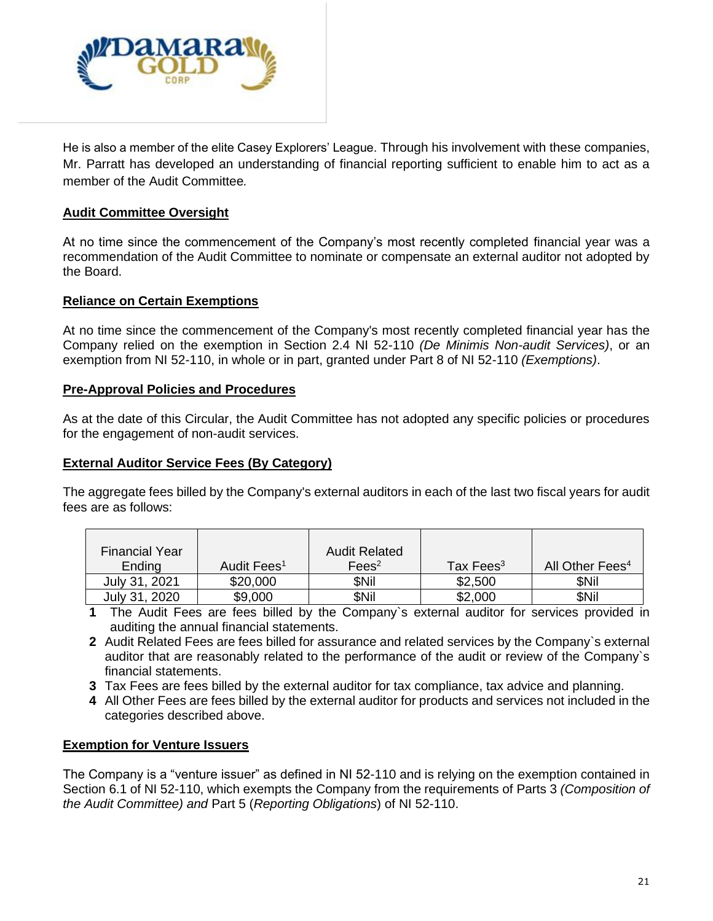

He is also a member of the elite Casey Explorers' League. Through his involvement with these companies, Mr. Parratt has developed an understanding of financial reporting sufficient to enable him to act as a member of the Audit Committee*.*

## **Audit Committee Oversight**

At no time since the commencement of the Company's most recently completed financial year was a recommendation of the Audit Committee to nominate or compensate an external auditor not adopted by the Board.

### **Reliance on Certain Exemptions**

At no time since the commencement of the Company's most recently completed financial year has the Company relied on the exemption in Section 2.4 NI 52-110 *(De Minimis Non-audit Services)*, or an exemption from NI 52-110, in whole or in part, granted under Part 8 of NI 52-110 *(Exemptions)*.

### **Pre-Approval Policies and Procedures**

As at the date of this Circular, the Audit Committee has not adopted any specific policies or procedures for the engagement of non-audit services.

#### **External Auditor Service Fees (By Category)**

The aggregate fees billed by the Company's external auditors in each of the last two fiscal years for audit fees are as follows:

| <b>Financial Year</b> |                         | <b>Audit Related</b> |              |                             |
|-----------------------|-------------------------|----------------------|--------------|-----------------------------|
| Ending                | Audit Fees <sup>1</sup> | Fees <sup>2</sup>    | Tax Fees $3$ | All Other Fees <sup>4</sup> |
| July 31, 2021         | \$20,000                | <b>SNil</b>          | \$2,500      | <b>SNil</b>                 |
| July 31, 2020         | \$9,000                 | \$Nil                | \$2,000      | \$Nil                       |

- **1** The Audit Fees are fees billed by the Company`s external auditor for services provided in auditing the annual financial statements.
- **2** Audit Related Fees are fees billed for assurance and related services by the Company`s external auditor that are reasonably related to the performance of the audit or review of the Company`s financial statements.
- **3** Tax Fees are fees billed by the external auditor for tax compliance, tax advice and planning.
- **4** All Other Fees are fees billed by the external auditor for products and services not included in the categories described above.

#### **Exemption for Venture Issuers**

The Company is a "venture issuer" as defined in NI 52-110 and is relying on the exemption contained in Section 6.1 of NI 52-110, which exempts the Company from the requirements of Parts 3 *(Composition of the Audit Committee) and* Part 5 (*Reporting Obligations*) of NI 52-110.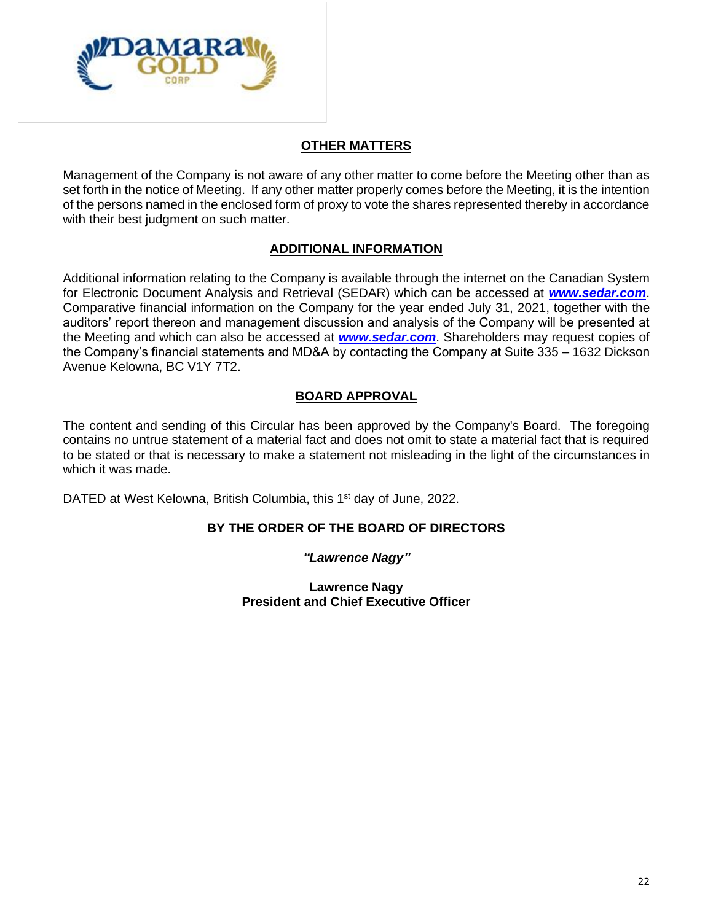

# **OTHER MATTERS**

Management of the Company is not aware of any other matter to come before the Meeting other than as set forth in the notice of Meeting. If any other matter properly comes before the Meeting, it is the intention of the persons named in the enclosed form of proxy to vote the shares represented thereby in accordance with their best judgment on such matter.

# **ADDITIONAL INFORMATION**

Additional information relating to the Company is available through the internet on the Canadian System for Electronic Document Analysis and Retrieval (SEDAR) which can be accessed at *[www.sedar.com](http://www.sedar.com/)*. Comparative financial information on the Company for the year ended July 31, 2021, together with the auditors' report thereon and management discussion and analysis of the Company will be presented at the Meeting and which can also be accessed at *[www.sedar.com](http://www.sedar.com/)*. Shareholders may request copies of the Company's financial statements and MD&A by contacting the Company at Suite 335 – 1632 Dickson Avenue Kelowna, BC V1Y 7T2.

# **BOARD APPROVAL**

The content and sending of this Circular has been approved by the Company's Board. The foregoing contains no untrue statement of a material fact and does not omit to state a material fact that is required to be stated or that is necessary to make a statement not misleading in the light of the circumstances in which it was made.

DATED at West Kelowna, British Columbia, this 1<sup>st</sup> day of June, 2022.

# **BY THE ORDER OF THE BOARD OF DIRECTORS**

*"Lawrence Nagy"*

**Lawrence Nagy President and Chief Executive Officer**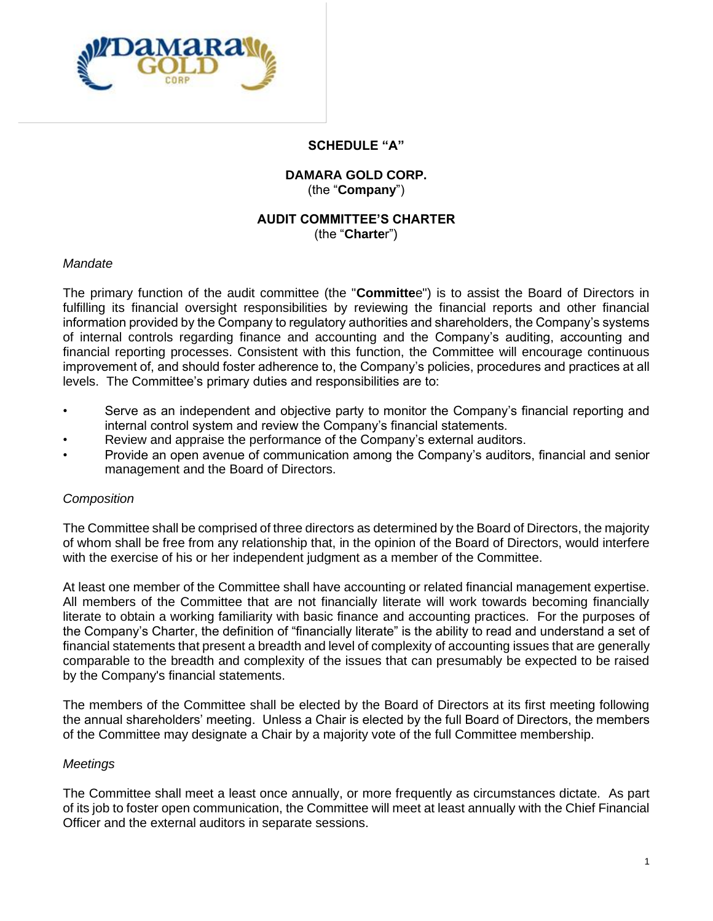

#### **SCHEDULE "A"**

## **DAMARA GOLD CORP.** (the "**Company**")

# **AUDIT COMMITTEE'S CHARTER**

(the "**Charte**r")

### *Mandate*

The primary function of the audit committee (the "**Committe**e") is to assist the Board of Directors in fulfilling its financial oversight responsibilities by reviewing the financial reports and other financial information provided by the Company to regulatory authorities and shareholders, the Company's systems of internal controls regarding finance and accounting and the Company's auditing, accounting and financial reporting processes. Consistent with this function, the Committee will encourage continuous improvement of, and should foster adherence to, the Company's policies, procedures and practices at all levels. The Committee's primary duties and responsibilities are to:

- Serve as an independent and objective party to monitor the Company's financial reporting and internal control system and review the Company's financial statements.
- Review and appraise the performance of the Company's external auditors.
- Provide an open avenue of communication among the Company's auditors, financial and senior management and the Board of Directors.

## *Composition*

The Committee shall be comprised of three directors as determined by the Board of Directors, the majority of whom shall be free from any relationship that, in the opinion of the Board of Directors, would interfere with the exercise of his or her independent judgment as a member of the Committee.

At least one member of the Committee shall have accounting or related financial management expertise. All members of the Committee that are not financially literate will work towards becoming financially literate to obtain a working familiarity with basic finance and accounting practices. For the purposes of the Company's Charter, the definition of "financially literate" is the ability to read and understand a set of financial statements that present a breadth and level of complexity of accounting issues that are generally comparable to the breadth and complexity of the issues that can presumably be expected to be raised by the Company's financial statements.

The members of the Committee shall be elected by the Board of Directors at its first meeting following the annual shareholders' meeting. Unless a Chair is elected by the full Board of Directors, the members of the Committee may designate a Chair by a majority vote of the full Committee membership.

#### *Meetings*

The Committee shall meet a least once annually, or more frequently as circumstances dictate. As part of its job to foster open communication, the Committee will meet at least annually with the Chief Financial Officer and the external auditors in separate sessions.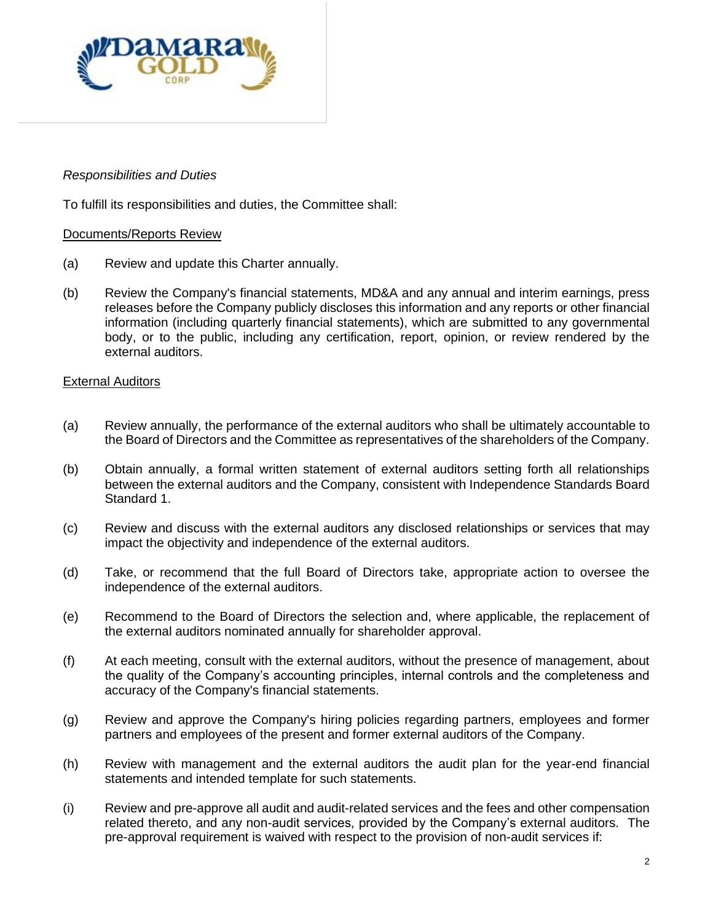

## *Responsibilities and Duties*

To fulfill its responsibilities and duties, the Committee shall:

#### Documents/Reports Review

- (a) Review and update this Charter annually.
- (b) Review the Company's financial statements, MD&A and any annual and interim earnings, press releases before the Company publicly discloses this information and any reports or other financial information (including quarterly financial statements), which are submitted to any governmental body, or to the public, including any certification, report, opinion, or review rendered by the external auditors.

#### External Auditors

- (a) Review annually, the performance of the external auditors who shall be ultimately accountable to the Board of Directors and the Committee as representatives of the shareholders of the Company.
- (b) Obtain annually, a formal written statement of external auditors setting forth all relationships between the external auditors and the Company, consistent with Independence Standards Board Standard 1.
- (c) Review and discuss with the external auditors any disclosed relationships or services that may impact the objectivity and independence of the external auditors.
- (d) Take, or recommend that the full Board of Directors take, appropriate action to oversee the independence of the external auditors.
- (e) Recommend to the Board of Directors the selection and, where applicable, the replacement of the external auditors nominated annually for shareholder approval.
- (f) At each meeting, consult with the external auditors, without the presence of management, about the quality of the Company's accounting principles, internal controls and the completeness and accuracy of the Company's financial statements.
- (g) Review and approve the Company's hiring policies regarding partners, employees and former partners and employees of the present and former external auditors of the Company.
- (h) Review with management and the external auditors the audit plan for the year-end financial statements and intended template for such statements.
- (i) Review and pre-approve all audit and audit-related services and the fees and other compensation related thereto, and any non-audit services, provided by the Company's external auditors. The pre-approval requirement is waived with respect to the provision of non-audit services if: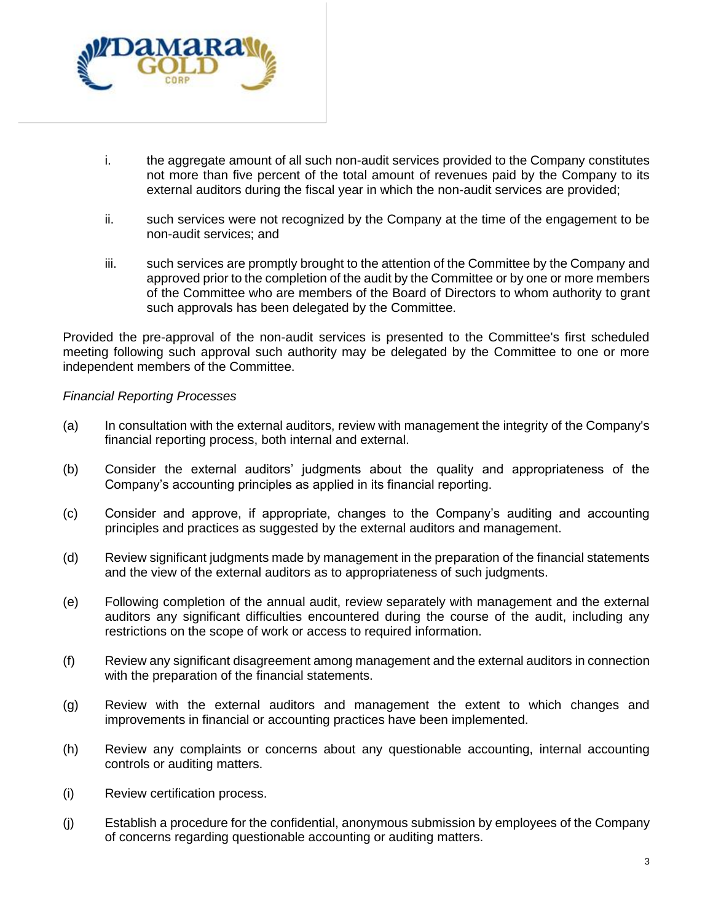

- i. the aggregate amount of all such non-audit services provided to the Company constitutes not more than five percent of the total amount of revenues paid by the Company to its external auditors during the fiscal year in which the non-audit services are provided;
- ii. such services were not recognized by the Company at the time of the engagement to be non-audit services; and
- iii. such services are promptly brought to the attention of the Committee by the Company and approved prior to the completion of the audit by the Committee or by one or more members of the Committee who are members of the Board of Directors to whom authority to grant such approvals has been delegated by the Committee.

Provided the pre-approval of the non-audit services is presented to the Committee's first scheduled meeting following such approval such authority may be delegated by the Committee to one or more independent members of the Committee.

#### *Financial Reporting Processes*

- (a) In consultation with the external auditors, review with management the integrity of the Company's financial reporting process, both internal and external.
- (b) Consider the external auditors' judgments about the quality and appropriateness of the Company's accounting principles as applied in its financial reporting.
- (c) Consider and approve, if appropriate, changes to the Company's auditing and accounting principles and practices as suggested by the external auditors and management.
- (d) Review significant judgments made by management in the preparation of the financial statements and the view of the external auditors as to appropriateness of such judgments.
- (e) Following completion of the annual audit, review separately with management and the external auditors any significant difficulties encountered during the course of the audit, including any restrictions on the scope of work or access to required information.
- (f) Review any significant disagreement among management and the external auditors in connection with the preparation of the financial statements.
- (g) Review with the external auditors and management the extent to which changes and improvements in financial or accounting practices have been implemented.
- (h) Review any complaints or concerns about any questionable accounting, internal accounting controls or auditing matters.
- (i) Review certification process.
- (j) Establish a procedure for the confidential, anonymous submission by employees of the Company of concerns regarding questionable accounting or auditing matters.